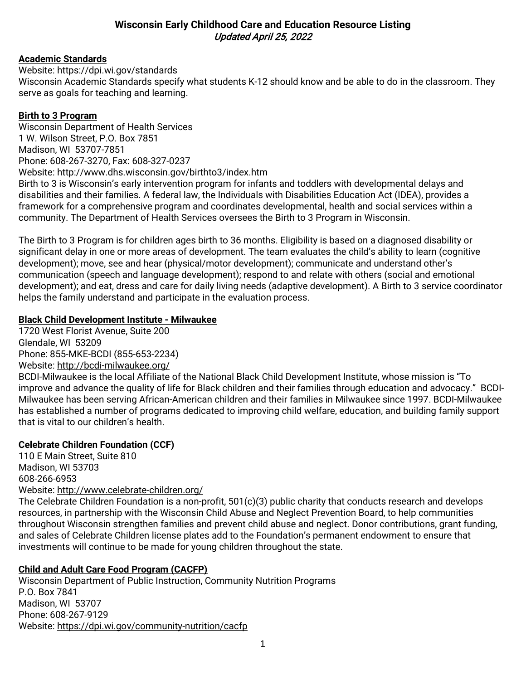# **Wisconsin Early Childhood Care and Education Resource Listing** Updated April 25, 2022

# **Academic Standards**

Website: <https://dpi.wi.gov/standards>

Wisconsin Academic Standards specify what students K-12 should know and be able to do in the classroom. They serve as goals for teaching and learning.

#### **Birth to 3 Program**

Wisconsin Department of Health Services 1 W. Wilson Street, P.O. Box 7851 Madison, WI 53707-7851 Phone: 608-267-3270, Fax: 608-327-0237 Website:<http://www.dhs.wisconsin.gov/birthto3/index.htm>

Birth to 3 is Wisconsin's early intervention program for infants and toddlers with developmental delays and disabilities and their families. A federal law, the Individuals with Disabilities Education Act (IDEA), provides a framework for a comprehensive program and coordinates developmental, health and social services within a community. The Department of Health Services oversees the Birth to 3 Program in Wisconsin.

The Birth to 3 Program is for children ages birth to 36 months. Eligibility is based on a diagnosed disability or significant delay in one or more areas of development. The team evaluates the child's ability to learn (cognitive development); move, see and hear (physical/motor development); communicate and understand other's communication (speech and language development); respond to and relate with others (social and emotional development); and eat, dress and care for daily living needs (adaptive development). A Birth to 3 service coordinator helps the family understand and participate in the evaluation process.

#### **Black Child Development Institute - Milwaukee**

1720 West Florist Avenue, Suite 200 Glendale, WI 53209 Phone: 855-MKE-BCDI (855-653-2234) Website:<http://bcdi-milwaukee.org/>

BCDI-Milwaukee is the local Affiliate of the National Black Child Development Institute, whose mission is "To improve and advance the quality of life for Black children and their families through education and advocacy." BCDI-Milwaukee has been serving African-American children and their families in Milwaukee since 1997. BCDI-Milwaukee has established a number of programs dedicated to improving child welfare, education, and building family support that is vital to our children's health.

# **Celebrate Children Foundation (CCF)**

110 E Main Street, Suite 810 Madison, WI 53703 608-266-6953 Website: <http://www.celebrate-children.org/>

The Celebrate Children Foundation is a non-profit, 501(c)(3) public charity that conducts research and develops resources, in partnership with the Wisconsin Child Abuse and Neglect Prevention Board, to help communities throughout Wisconsin strengthen families and prevent child abuse and neglect. Donor contributions, grant funding, and sales of Celebrate Children license plates add to the Foundation's permanent endowment to ensure that investments will continue to be made for young children throughout the state.

# **Child and Adult Care Food Program (CACFP)**

Wisconsin Department of Public Instruction, Community Nutrition Programs P.O. Box 7841 Madison, WI 53707 Phone: 608-267-9129 Website:<https://dpi.wi.gov/community-nutrition/cacfp>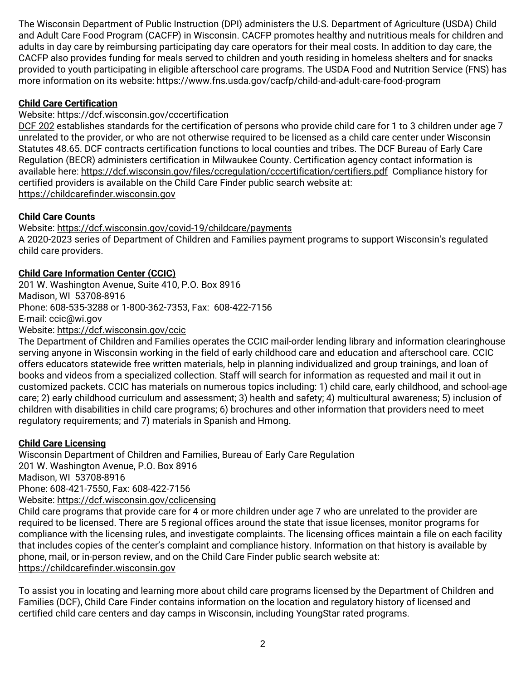The Wisconsin Department of Public Instruction (DPI) administers the U.S. Department of Agriculture (USDA) Child and Adult Care Food Program (CACFP) in Wisconsin. CACFP promotes healthy and nutritious meals for children and adults in day care by reimbursing participating day care operators for their meal costs. In addition to day care, the CACFP also provides funding for meals served to children and youth residing in homeless shelters and for snacks provided to youth participating in eligible afterschool care programs. The USDA Food and Nutrition Service (FNS) has more information on its website:<https://www.fns.usda.gov/cacfp/child-and-adult-care-food-program>

# **Child Care Certification**

# Website:<https://dcf.wisconsin.gov/cccertification>

[DCF 202](https://docs.legis.wisconsin.gov/code/admin_code/dcf/201_252/202) establishes standards for the certification of persons who provide child care for 1 to 3 children under age 7 unrelated to the provider, or who are not otherwise required to be licensed as a child care center under Wisconsin Statutes 48.65. DCF contracts certification functions to local counties and tribes. The DCF Bureau of Early Care Regulation (BECR) administers certification in Milwaukee County. Certification agency contact information is available here:<https://dcf.wisconsin.gov/files/ccregulation/cccertification/certifiers.pdf>Compliance history for certified providers is available on the Child Care Finder public search website at: [https://childcarefinder.wisconsin.gov](https://childcarefinder.wisconsin.gov/)

# **Child Care Counts**

Website:<https://dcf.wisconsin.gov/covid-19/childcare/payments> A 2020-2023 series of Department of Children and Families payment programs to support Wisconsin's regulated child care providers.

# **Child Care Information Center (CCIC)**

201 W. Washington Avenue, Suite 410, P.O. Box 8916 Madison, WI 53708-8916 Phone: 608-535-3288 or 1-800-362-7353, Fax: 608-422-7156 E-mail: [ccic@wi.gov](mailto:ccic@wi.gov) Website:<https://dcf.wisconsin.gov/ccic>

The Department of Children and Families operates the CCIC mail-order lending library and information clearinghouse serving anyone in Wisconsin working in the field of early childhood care and education and afterschool care. CCIC offers educators statewide free written materials, help in planning individualized and group trainings, and loan of books and videos from a specialized collection. Staff will search for information as requested and mail it out in customized packets. CCIC has materials on numerous topics including: 1) child care, early childhood, and school-age care; 2) early childhood curriculum and assessment; 3) health and safety; 4) multicultural awareness; 5) inclusion of children with disabilities in child care programs; 6) brochures and other information that providers need to meet regulatory requirements; and 7) materials in Spanish and Hmong.

# **Child Care Licensing**

Wisconsin Department of Children and Families, Bureau of Early Care Regulation 201 W. Washington Avenue, P.O. Box 8916 Madison, WI 53708-8916 Phone: 608-421-7550, Fax: 608-422-7156 Website:<https://dcf.wisconsin.gov/cclicensing> Child care programs that provide care for 4 or more children under age 7 who are unrelated to the provider are

required to be licensed. There are 5 regional offices around the state that issue licenses, monitor programs for compliance with the licensing rules, and investigate complaints. The licensing offices maintain a file on each facility that includes copies of the center's complaint and compliance history. Information on that history is available by phone, mail, or in-person review, and on the Child Care Finder public search website at: [https://childcarefinder.wisconsin.gov](https://childcarefinder.wisconsin.gov/)

To assist you in locating and learning more about child care programs licensed by the Department of Children and Families (DCF), Child Care Finder contains information on the location and regulatory history of licensed and certified child care centers and day camps in Wisconsin, including YoungStar rated programs.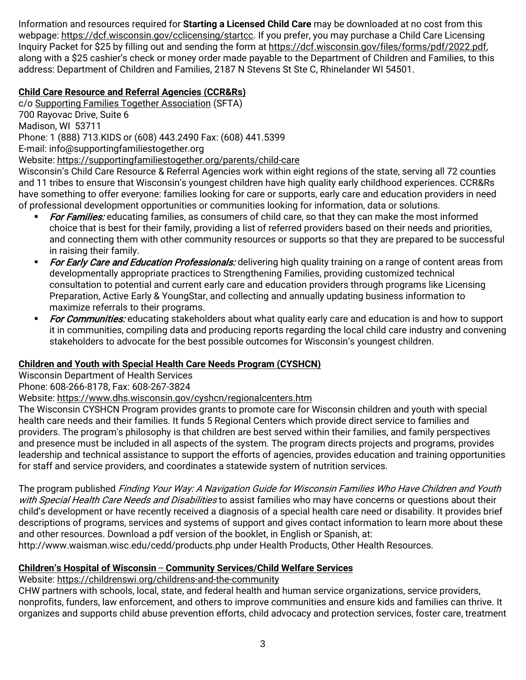Information and resources required for **Starting a Licensed Child Care** may be downloaded at no cost from this webpage: [https://dcf.wisconsin.gov/cclicensing/startcc.](https://dcf.wisconsin.gov/cclicensing/startcc) If you prefer, you may purchase a Child Care Licensing Inquiry Packet for \$25 by filling out and sending the form at [https://dcf.wisconsin.gov/files/forms/pdf/2022.pdf,](https://dcf.wisconsin.gov/files/forms/pdf/2022.pdf) along with a \$25 cashier's check or money order made payable to the Department of Children and Families, to this address: Department of Children and Families, 2187 N Stevens St Ste C, Rhinelander WI 54501.

# **Child Care Resource and Referral Agencies (CCR&Rs)**

c/o [Supporting Families Together Association](https://supportingfamiliestogether.org/) (SFTA) 700 Rayovac Drive, Suite 6 Madison, WI 53711 Phone: 1 (888) 713.KIDS or (608) 443.2490 Fax: (608) 441.5399 E-mail: [info@supportingfamiliestogether.org](mailto:info@supportingfamiliestogether.org) Website: [https://supportingfamiliestogether.org/parents/child-care](https://supportingfamiliestogether.org/parents/child-care/) Wisconsin's Child Care Resource & Referral Agencies work within eight regions of the state, serving all 72 counties

and 11 tribes to ensure that Wisconsin's youngest children have high quality early childhood experiences. CCR&Rs have something to offer everyone: families looking for care or supports, early care and education providers in need of professional development opportunities or communities looking for information, data or solutions.

- For Families: educating families, as consumers of child care, so that they can make the most informed choice that is best for their family, providing a list of referred providers based on their needs and priorities, and connecting them with other community resources or supports so that they are prepared to be successful in raising their family.
- For Early Care and Education Professionals: delivering high quality training on a range of content areas from developmentally appropriate practices to Strengthening Families, providing customized technical consultation to potential and current early care and education providers through programs like Licensing Preparation, Active Early & YoungStar, and collecting and annually updating business information to maximize referrals to their programs.
- For Communities: educating stakeholders about what quality early care and education is and how to support it in communities, compiling data and producing reports regarding the local child care industry and convening stakeholders to advocate for the best possible outcomes for Wisconsin's youngest children.

# **Children and Youth with Special Health Care Needs Program (CYSHCN)**

Wisconsin Department of Health Services

# Phone: 608-266-8178, Fax: 608-267-3824

# Website:<https://www.dhs.wisconsin.gov/cyshcn/regionalcenters.htm>

The Wisconsin CYSHCN Program provides grants to promote care for Wisconsin children and youth with special health care needs and their families. It funds 5 Regional Centers which provide direct service to families and providers. The program's philosophy is that children are best served within their families, and family perspectives and presence must be included in all aspects of the system. The program directs projects and programs, provides leadership and technical assistance to support the efforts of agencies, provides education and training opportunities for staff and service providers, and coordinates a statewide system of nutrition services.

The program published Finding Your Way: A Navigation Guide for Wisconsin Families Who Have Children and Youth with Special Health Care Needs and Disabilities to assist families who may have concerns or questions about their child's development or have recently received a diagnosis of a special health care need or disability. It provides brief descriptions of programs, services and systems of support and gives contact information to learn more about these and other resources. Download a pdf version of the booklet, in English or Spanish, at:

http://www.waisman.wisc.edu/cedd/products.php under Health Products, Other Health Resources.

# **Children's Hospital of Wisconsin ̶ Community Services/Child Welfare Services**

Website:<https://childrenswi.org/childrens-and-the-community>

CHW partners with schools, local, state, and federal health and human service organizations, service providers, nonprofits, funders, law enforcement, and others to improve communities and ensure kids and families can thrive. It organizes and supports child abuse prevention efforts, child advocacy and protection services, foster care, treatment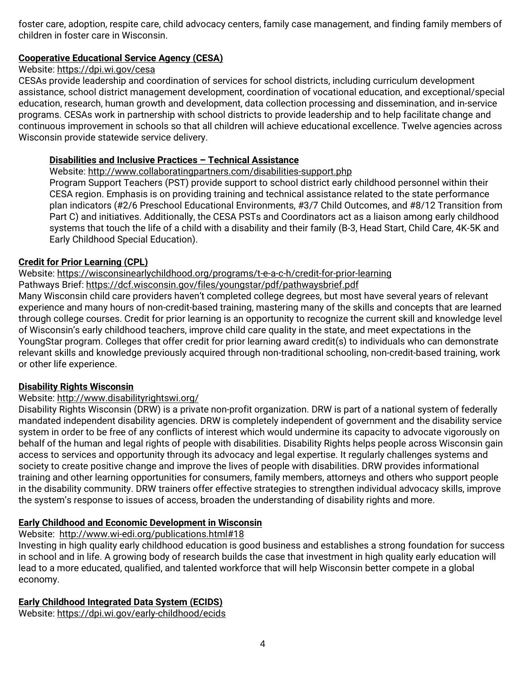foster care, adoption, respite care, child advocacy centers, family case management, and finding family members of children in foster care in Wisconsin.

# **Cooperative Educational Service Agency (CESA)**

#### Website:<https://dpi.wi.gov/cesa>

CESAs provide leadership and coordination of services for school districts, including curriculum development assistance, school district management development, coordination of vocational education, and exceptional/special education, research, human growth and development, data collection processing and dissemination, and in-service programs. CESAs work in partnership with school districts to provide leadership and to help facilitate change and continuous improvement in schools so that all children will achieve educational excellence. Twelve agencies across Wisconsin provide statewide service delivery.

#### **Disabilities and Inclusive Practices – Technical Assistance**

Website:<http://www.collaboratingpartners.com/disabilities-support.php>

Program Support Teachers (PST) provide support to school district early childhood personnel within their CESA region. Emphasis is on providing training and technical assistance related to the state performance plan indicators (#2/6 Preschool Educational Environments, #3/7 Child Outcomes, and #8/12 Transition from Part C) and initiatives. Additionally, the CESA PSTs and Coordinators act as a liaison among early childhood systems that touch the life of a child with a disability and their family (B-3, Head Start, Child Care, 4K-5K and Early Childhood Special Education).

#### **Credit for Prior Learning (CPL)**

Website: <https://wisconsinearlychildhood.org/programs/t-e-a-c-h/credit-for-prior-learning>

Pathways Brief:<https://dcf.wisconsin.gov/files/youngstar/pdf/pathwaysbrief.pdf>

Many Wisconsin child care providers haven't completed college degrees, but most have several years of relevant experience and many hours of non-credit-based training, mastering many of the skills and concepts that are learned through college courses. Credit for prior learning is an opportunity to recognize the current skill and knowledge level of Wisconsin's early childhood teachers, improve child care quality in the state, and meet expectations in the YoungStar program. Colleges that offer credit for prior learning award credit(s) to individuals who can demonstrate relevant skills and knowledge previously acquired through non-traditional schooling, non-credit-based training, work or other life experience.

#### **Disability Rights Wisconsin**

#### Website:<http://www.disabilityrightswi.org/>

Disability Rights Wisconsin (DRW) is a private non-profit organization. DRW is part of a national system of federally mandated independent disability agencies. DRW is completely independent of government and the disability service system in order to be free of any conflicts of interest which would undermine its capacity to advocate vigorously on behalf of the human and legal rights of people with disabilities. Disability Rights helps people across Wisconsin gain access to services and opportunity through its advocacy and legal expertise. It regularly challenges systems and society to create positive change and improve the lives of people with disabilities. DRW provides informational training and other learning opportunities for consumers, family members, attorneys and others who support people in the disability community. DRW trainers offer effective strategies to strengthen individual advocacy skills, improve the system's response to issues of access, broaden the understanding of disability rights and more.

#### **Early Childhood and Economic Development in Wisconsin**

#### Website: <http://www.wi-edi.org/publications.html#18>

Investing in high quality early childhood education is good business and establishes a strong foundation for success in school and in life. A growing body of research builds the case that investment in high quality early education will lead to a more educated, qualified, and talented workforce that will help Wisconsin better compete in a global economy.

#### **Early Childhood Integrated Data System (ECIDS)**

Website:<https://dpi.wi.gov/early-childhood/ecids>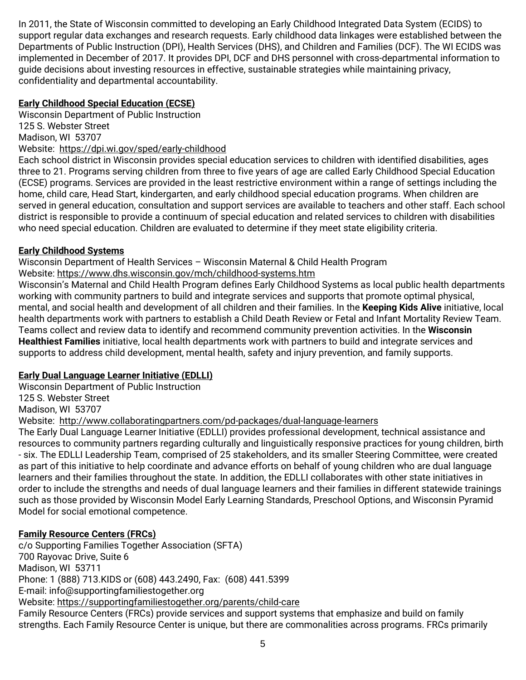In 2011, the State of Wisconsin committed to developing an Early Childhood Integrated Data System (ECIDS) to support regular data exchanges and research requests. Early childhood data linkages were established between the Departments of Public Instruction (DPI), Health Services (DHS), and Children and Families (DCF). The WI ECIDS was implemented in December of 2017. It provides DPI, DCF and DHS personnel with cross-departmental information to guide decisions about investing resources in effective, sustainable strategies while maintaining privacy, confidentiality and departmental accountability.

# **Early Childhood Special Education (ECSE)**

Wisconsin Department of Public Instruction 125 S. Webster Street Madison, WI 53707 Website: <https://dpi.wi.gov/sped/early-childhood>

Each school district in Wisconsin provides special education services to children with identified disabilities, ages three to 21. Programs serving children from three to five years of age are called Early Childhood Special Education (ECSE) programs. Services are provided in the least restrictive environment within a range of settings including the home, child care, Head Start, kindergarten, and early childhood special education programs. When children are served in general education, consultation and support services are available to teachers and other staff. Each school district is responsible to provide a continuum of special education and related services to children with disabilities who need special education. Children are evaluated to determine if they meet state eligibility criteria.

# **Early Childhood Systems**

Wisconsin Department of Health Services – Wisconsin Maternal & Child Health Program Website:<https://www.dhs.wisconsin.gov/mch/childhood-systems.htm>

Wisconsin's Maternal and Child Health Program defines Early Childhood Systems as local public health departments working with community partners to build and integrate services and supports that promote optimal physical, mental, and social health and development of all children and their families. In the **Keeping Kids Alive** initiative, local health departments work with partners to establish a Child Death Review or Fetal and Infant Mortality Review Team. Teams collect and review data to identify and recommend community prevention activities. In the **Wisconsin Healthiest Families** initiative, local health departments work with partners to build and integrate services and supports to address child development, mental health, safety and injury prevention, and family supports.

# **Early Dual Language Learner Initiative (EDLLI)**

Wisconsin Department of Public Instruction 125 S. Webster Street Madison, WI 53707

Website: <http://www.collaboratingpartners.com/pd-packages/dual-language-learners>

The Early Dual Language Learner Initiative (EDLLI) provides professional development, technical assistance and resources to community partners regarding culturally and linguistically responsive practices for young children, birth - six. The EDLLI Leadership Team, comprised of 25 stakeholders, and its smaller Steering Committee, were created as part of this initiative to help coordinate and advance efforts on behalf of young children who are dual language learners and their families throughout the state. In addition, the EDLLI collaborates with other state initiatives in order to include the strengths and needs of dual language learners and their families in different statewide trainings such as those provided by Wisconsin Model Early Learning Standards, Preschool Options, and Wisconsin Pyramid Model for social emotional competence.

# **Family Resource Centers (FRCs)**

c/o Supporting Families Together Association (SFTA) 700 Rayovac Drive, Suite 6 Madison, WI 53711 Phone: 1 (888) 713.KIDS or (608) 443.2490, Fax: (608) 441.5399 E-mail: [info@supportingfamiliestogether.org](mailto:info@supportingfamiliestogether.org) Website:<https://supportingfamiliestogether.org/parents/child-care> Family Resource Centers (FRCs) provide services and support systems that emphasize and build on family strengths. Each Family Resource Center is unique, but there are commonalities across programs. FRCs primarily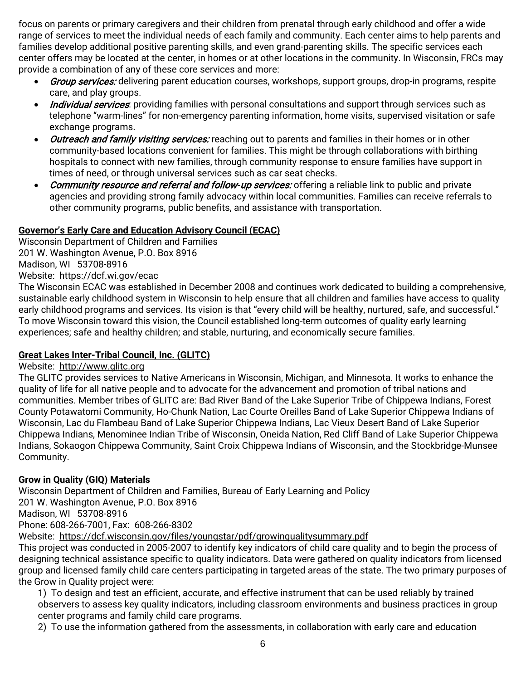focus on parents or primary caregivers and their children from prenatal through early childhood and offer a wide range of services to meet the individual needs of each family and community. Each center aims to help parents and families develop additional positive parenting skills, and even grand-parenting skills. The specific services each center offers may be located at the center, in homes or at other locations in the community. In Wisconsin, FRCs may provide a combination of any of these core services and more:

- Group services: delivering parent education courses, workshops, support groups, drop-in programs, respite care, and play groups.
- *Individual services*: providing families with personal consultations and support through services such as telephone "warm-lines" for non-emergency parenting information, home visits, supervised visitation or safe exchange programs.
- *Outreach and family visiting services:* reaching out to parents and families in their homes or in other community-based locations convenient for families. This might be through collaborations with birthing hospitals to connect with new families, through community response to ensure families have support in times of need, or through universal services such as car seat checks.
- Community resource and referral and follow-up services: offering a reliable link to public and private agencies and providing strong family advocacy within local communities. Families can receive referrals to other community programs, public benefits, and assistance with transportation.

# **Governor's Early Care and Education Advisory Council (ECAC)**

Wisconsin Department of Children and Families 201 W. Washington Avenue, P.O. Box 8916 Madison, WI 53708-8916 Website: <https://dcf.wi.gov/ecac>

The Wisconsin ECAC was established in December 2008 and continues work dedicated to building a comprehensive, sustainable early childhood system in Wisconsin to help ensure that all children and families have access to quality early childhood programs and services. Its vision is that "every child will be healthy, nurtured, safe, and successful." To move Wisconsin toward this vision, the Council established long-term outcomes of quality early learning experiences; safe and healthy children; and stable, nurturing, and economically secure families.

# **Great Lakes Inter-Tribal Council, Inc. (GLITC)**

# Website: [http://www.glitc.org](http://www.glitc.org/)

The GLITC provides services to Native Americans in Wisconsin, Michigan, and Minnesota. It works to enhance the quality of life for all native people and to advocate for the advancement and promotion of tribal nations and communities. Member tribes of GLITC are: Bad River Band of the Lake Superior Tribe of Chippewa Indians, Forest County Potawatomi Community, Ho-Chunk Nation, Lac Courte Oreilles Band of Lake Superior Chippewa Indians of Wisconsin, Lac du Flambeau Band of Lake Superior Chippewa Indians, Lac Vieux Desert Band of Lake Superior Chippewa Indians, Menominee Indian Tribe of Wisconsin, Oneida Nation, Red Cliff Band of Lake Superior Chippewa Indians, Sokaogon Chippewa Community, Saint Croix Chippewa Indians of Wisconsin, and the Stockbridge-Munsee Community.

# **Grow in Quality (GIQ) Materials**

Wisconsin Department of Children and Families, Bureau of Early Learning and Policy 201 W. Washington Avenue, P.O. Box 8916 Madison, WI 53708-8916 Phone: 608-266-7001, Fax: 608-266-8302 Website: <https://dcf.wisconsin.gov/files/youngstar/pdf/growinqualitysummary.pdf>

This project was conducted in 2005-2007 to identify key indicators of child care quality and to begin the process of designing technical assistance specific to quality indicators. Data were gathered on quality indicators from licensed group and licensed family child care centers participating in targeted areas of the state. The two primary purposes of the Grow in Quality project were:

1) To design and test an efficient, accurate, and effective instrument that can be used reliably by trained observers to assess key quality indicators, including classroom environments and business practices in group center programs and family child care programs.

2) To use the information gathered from the assessments, in collaboration with early care and education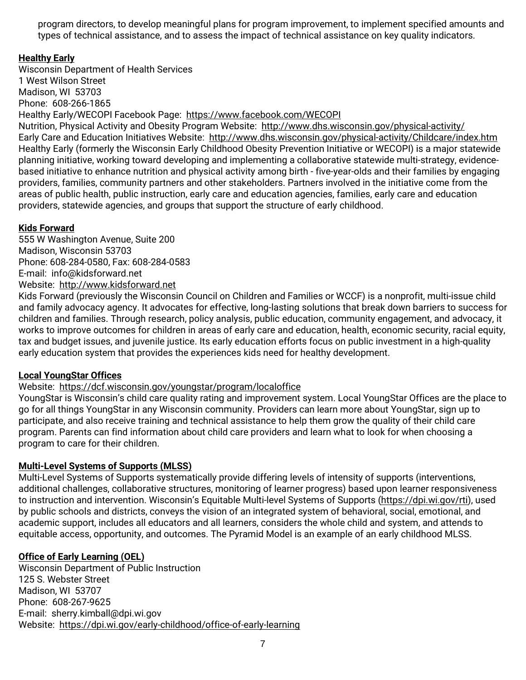program directors, to develop meaningful plans for program improvement, to implement specified amounts and types of technical assistance, and to assess the impact of technical assistance on key quality indicators.

# **Healthy Early**

Wisconsin Department of Health Services 1 West Wilson Street Madison, WI 53703 Phone: 608-266-1865 Healthy Early/WECOPI Facebook Page: <https://www.facebook.com/WECOPI> Nutrition, Physical Activity and Obesity Program Website: <http://www.dhs.wisconsin.gov/physical-activity/> Early Care and Education Initiatives Website: <http://www.dhs.wisconsin.gov/physical-activity/Childcare/index.htm> Healthy Early (formerly the Wisconsin Early Childhood Obesity Prevention Initiative or WECOPI) is a major statewide planning initiative, working toward developing and implementing a collaborative statewide multi-strategy, evidencebased initiative to enhance nutrition and physical activity among birth - five-year-olds and their families by engaging providers, families, community partners and other stakeholders. Partners involved in the initiative come from the areas of public health, public instruction, early care and education agencies, families, early care and education providers, statewide agencies, and groups that support the structure of early childhood.

# **Kids Forward**

555 W Washington Avenue, Suite 200 Madison, Wisconsin 53703 Phone: 608-284-0580, Fax: 608-284-0583 E-mail: [info@kidsforward.net](mailto:info@kidsforward.net) Website: [http://www.kidsforward.net](http://www.kidsforward.net/)

Kids Forward (previously the Wisconsin Council on Children and Families or WCCF) is a nonprofit, multi-issue child and family advocacy agency. It advocates for effective, long-lasting solutions that break down barriers to success for children and families. Through research, policy analysis, public education, community engagement, and advocacy, it works to improve outcomes for children in areas of early care and education, health, economic security, racial equity, tax and budget issues, and juvenile justice. Its early education efforts focus on public investment in a high-quality early education system that provides the experiences kids need for healthy development.

# **Local YoungStar Offices**

# Website: <https://dcf.wisconsin.gov/youngstar/program/localoffice>

YoungStar is Wisconsin's child care quality rating and improvement system. Local YoungStar Offices are the place to go for all things YoungStar in any Wisconsin community. Providers can learn more about YoungStar, sign up to participate, and also receive training and technical assistance to help them grow the quality of their child care program. Parents can find information about child care providers and learn what to look for when choosing a program to care for their children.

# **Multi-Level Systems of Supports (MLSS)**

Multi-Level Systems of Supports systematically provide differing levels of intensity of supports (interventions, additional challenges, collaborative structures, monitoring of learner progress) based upon learner responsiveness to instruction and intervention. Wisconsin's Equitable Multi-level Systems of Supports [\(https://dpi.wi.gov/rti\)](https://dpi.wi.gov/rti), used by public schools and districts, conveys the vision of an integrated system of behavioral, social, emotional, and academic support, includes all educators and all learners, considers the whole child and system, and attends to equitable access, opportunity, and outcomes. The Pyramid Model is an example of an early childhood MLSS.

# **Office of Early Learning (OEL)**

Wisconsin Department of Public Instruction 125 S. Webster Street Madison, WI 53707 Phone: 608-267-9625 E-mail: sherry.kimball@dpi.wi.gov Website: <https://dpi.wi.gov/early-childhood/office-of-early-learning>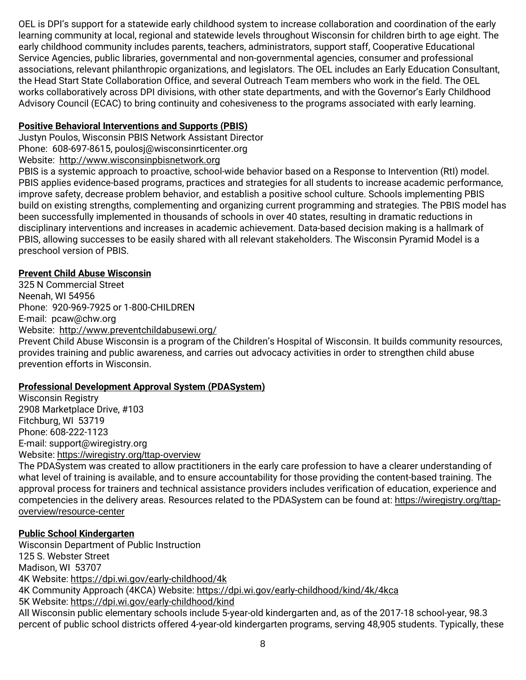OEL is DPI's support for a statewide early childhood system to increase collaboration and coordination of the early learning community at local, regional and statewide levels throughout Wisconsin for children birth to age eight. The early childhood community includes parents, teachers, administrators, support staff, Cooperative Educational Service Agencies, public libraries, governmental and non-governmental agencies, consumer and professional associations, relevant philanthropic organizations, and legislators. The OEL includes an Early Education Consultant, the Head Start State Collaboration Office, and several Outreach Team members who work in the field. The OEL works collaboratively across DPI divisions, with other state departments, and with the Governor's Early Childhood Advisory Council (ECAC) to bring continuity and cohesiveness to the programs associated with early learning.

# **Positive Behavioral Interventions and Supports (PBIS)**

Justyn Poulos, Wisconsin PBIS Network Assistant Director

Phone: 608-697-8615[, poulosj@wisconsinrticenter.org](mailto:poulosj@wisconsinrticenter.org)

Website: [http://www.wisconsinpbisnetwork.org](http://www.wisconsinpbisnetwork.org/) 

PBIS is a systemic approach to proactive, school-wide behavior based on a Response to Intervention (RtI) model. PBIS applies evidence-based programs, practices and strategies for all students to increase academic performance, improve safety, decrease problem behavior, and establish a positive school culture. Schools implementing PBIS build on existing strengths, complementing and organizing current programming and strategies. The PBIS model has been successfully implemented in thousands of schools in over 40 states, resulting in dramatic reductions in disciplinary interventions and increases in academic achievement. Data-based decision making is a hallmark of PBIS, allowing successes to be easily shared with all relevant stakeholders. The Wisconsin Pyramid Model is a preschool version of PBIS.

# **Prevent Child Abuse Wisconsin**

325 N Commercial Street Neenah, WI 54956 Phone: 920-969-7925 or 1-800-CHILDREN E-mail: [pcaw@chw.org](mailto:pcaw@chw.org) Website: <http://www.preventchildabusewi.org/>

Prevent Child Abuse Wisconsin is a program of the Children's Hospital of Wisconsin. It builds community resources, provides training and public awareness, and carries out advocacy activities in order to strengthen child abuse prevention efforts in Wisconsin.

# **Professional Development Approval System (PDASystem)**

Wisconsin Registry 2908 Marketplace Drive, #103 Fitchburg, WI 53719 Phone: 608-222-1123 E-mail: [support@wiregistry.org](mailto:support@wiregistry.org) Website: <https://wiregistry.org/ttap-overview>

The PDASystem was created to allow practitioners in the early care profession to have a clearer understanding of what level of training is available, and to ensure accountability for those providing the content-based training. The approval process for trainers and technical assistance providers includes verification of education, experience and competencies in the delivery areas. Resources related to the PDASystem can be found at: [https://wiregistry.org/ttap](https://wiregistry.org/ttap-overview/resource-center)[overview/resource-center](https://wiregistry.org/ttap-overview/resource-center)

# **Public School Kindergarten**

Wisconsin Department of Public Instruction 125 S. Webster Street Madison, WI 53707 4K Website:<https://dpi.wi.gov/early-childhood/4k> 4K Community Approach (4KCA) Website:<https://dpi.wi.gov/early-childhood/kind/4k/4kca> 5K Website:<https://dpi.wi.gov/early-childhood/kind> All Wisconsin public elementary schools include 5-year-old kindergarten and, as of the 2017-18 school-year, 98.3 percent of public school districts offered 4-year-old kindergarten programs, serving 48,905 students. Typically, these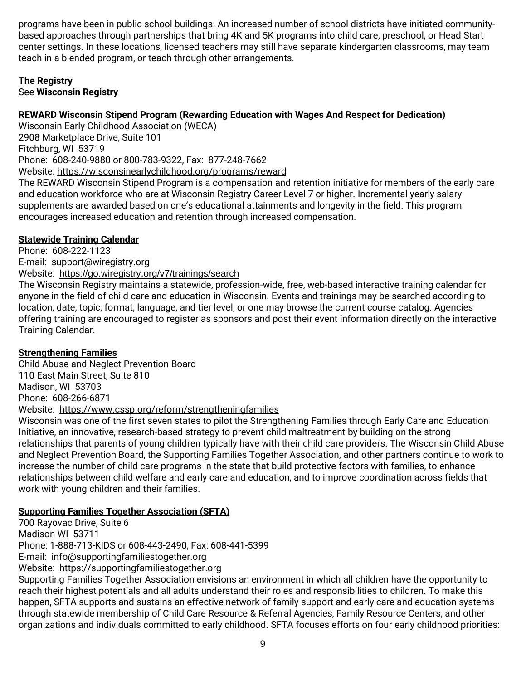programs have been in public school buildings. An increased number of school districts have initiated communitybased approaches through partnerships that bring 4K and 5K programs into child care, preschool, or Head Start center settings. In these locations, licensed teachers may still have separate kindergarten classrooms, may team teach in a blended program, or teach through other arrangements.

#### **The Registry** See **Wisconsin Registry**

# **REWARD Wisconsin Stipend Program (Rewarding Education with Wages And Respect for Dedication)**

Wisconsin Early Childhood Association (WECA) 2908 Marketplace Drive, Suite 101 Fitchburg, WI 53719 Phone: 608-240-9880 or 800-783-9322, Fax: 877-248-7662 Website: [https://wisconsinearlychildhood.org/programs/reward](https://wisconsinearlychildhood.org/programs/reward/) The REWARD Wisconsin Stipend Program is a compensation and retention initiative for members of the early care and education workforce who are at Wisconsin Registry Career Level 7 or higher. Incremental yearly salary supplements are awarded based on one's educational attainments and longevity in the field. This program encourages increased education and retention through increased compensation.

# **Statewide Training Calendar**

Phone: 608-222-1123 E-mail: [support@wiregistry.org](mailto:support@wiregistry.org) Website: <https://go.wiregistry.org/v7/trainings/search>

The Wisconsin Registry maintains a statewide, profession-wide, free, web-based interactive training calendar for anyone in the field of child care and education in Wisconsin. Events and trainings may be searched according to location, date, topic, format, language, and tier level, or one may browse the current course catalog. Agencies offering training are encouraged to register as sponsors and post their event information directly on the interactive Training Calendar.

# **Strengthening Families**

Child Abuse and Neglect Prevention Board 110 East Main Street, Suite 810 Madison, WI 53703 Phone: 608-266-6871 Website: <https://www.cssp.org/reform/strengtheningfamilies>

Wisconsin was one of the first seven states to pilot the Strengthening Families through Early Care and Education Initiative, an innovative, research-based strategy to prevent child maltreatment by building on the strong relationships that parents of young children typically have with their child care providers. The Wisconsin Child Abuse and Neglect Prevention Board, the Supporting Families Together Association, and other partners continue to work to increase the number of child care programs in the state that build protective factors with families, to enhance relationships between child welfare and early care and education, and to improve coordination across fields that work with young children and their families.

# **Supporting Families Together Association (SFTA)**

700 Rayovac Drive, Suite 6 Madison WI 53711 Phone: 1-888-713-KIDS or 608-443-2490, Fax: 608-441-5399 E-mail: [info@supportingfamiliestogether.org](mailto:info@supportingfamiliestogether.org) Website: [https://supportingfamiliestogether.org](https://supportingfamiliestogether.org/)  Supporting Families Together Association envisions an environment in which all children have the opportunity to reach their highest potentials and all adults understand their roles and responsibilities to children. To make this happen, SFTA supports and sustains an effective network of family support and early care and education systems through statewide membership of Child Care Resource & Referral Agencies, Family Resource Centers, and other organizations and individuals committed to early childhood. SFTA focuses efforts on four early childhood priorities: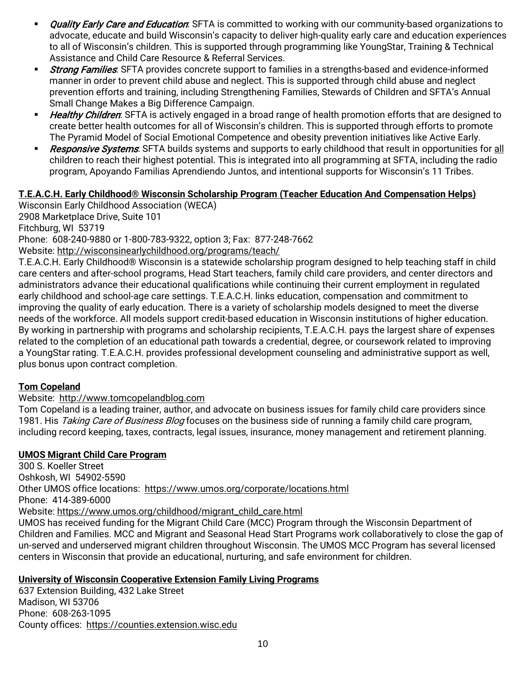- Quality Early Care and Education: SFTA is committed to working with our community-based organizations to advocate, educate and build Wisconsin's capacity to deliver high-quality early care and education experiences to all of Wisconsin's children. This is supported through programming like YoungStar, Training & Technical Assistance and Child Care Resource & Referral Services.
- **Strong Families:** SFTA provides concrete support to families in a strengths-based and evidence-informed manner in order to prevent child abuse and neglect. This is supported through child abuse and neglect prevention efforts and training, including Strengthening Families, Stewards of Children and SFTA's Annual Small Change Makes a Big Difference Campaign.
- Healthy Children: SFTA is actively engaged in a broad range of health promotion efforts that are designed to create better health outcomes for all of Wisconsin's children. This is supported through efforts to promote The Pyramid Model of Social Emotional Competence and obesity prevention initiatives like Active Early.
- Responsive Systems: SFTA builds systems and supports to early childhood that result in opportunities for all children to reach their highest potential. This is integrated into all programming at SFTA, including the radio program, Apoyando Familias Aprendiendo Juntos, and intentional supports for Wisconsin's 11 Tribes.

# **T.E.A.C.H. Early Childhood® Wisconsin Scholarship Program (Teacher Education And Compensation Helps)**

Wisconsin Early Childhood Association (WECA) 2908 Marketplace Drive, Suite 101 Fitchburg, WI 53719 Phone: 608-240-9880 or 1-800-783-9322, option 3; Fax: 877-248-7662 Website:<http://wisconsinearlychildhood.org/programs/teach/>

T.E.A.C.H. Early Childhood® Wisconsin is a statewide scholarship program designed to help teaching staff in child care centers and after-school programs, Head Start teachers, family child care providers, and center directors and administrators advance their educational qualifications while continuing their current employment in regulated early childhood and school-age care settings. T.E.A.C.H. links education, compensation and commitment to improving the quality of early education. There is a variety of scholarship models designed to meet the diverse needs of the workforce. All models support credit-based education in Wisconsin institutions of higher education. By working in partnership with programs and scholarship recipients, T.E.A.C.H. pays the largest share of expenses related to the completion of an educational path towards a credential, degree, or coursework related to improving a YoungStar rating. T.E.A.C.H. provides professional development counseling and administrative support as well, plus bonus upon contract completion.

# **Tom Copeland**

# Website: [http://www.tomcopelandblog.com](http://www.tomcopelandblog.com/)

Tom Copeland is a leading trainer, author, and advocate on business issues for family child care providers since 1981. His Taking Care of Business Blog focuses on the business side of running a family child care program, including record keeping, taxes, contracts, legal issues, insurance, money management and retirement planning.

# **UMOS Migrant Child Care Program**

300 S. Koeller Street Oshkosh, WI 54902-5590 Other UMOS office locations: <https://www.umos.org/corporate/locations.html> Phone: 414-389-6000 Website: [https://www.umos.org/childhood/migrant\\_child\\_care.html](https://www.umos.org/childhood/migrant_child_care.html) UMOS has received funding for the Migrant Child Care (MCC) Program through the Wisconsin Department of Children and Families. MCC and Migrant and Seasonal Head Start Programs work collaboratively to close the gap of un-served and underserved migrant children throughout Wisconsin. The UMOS MCC Program has several licensed centers in Wisconsin that provide an educational, nurturing, and safe environment for children.

# **University of Wisconsin Cooperative Extension Family Living Programs**

637 Extension Building, 432 Lake Street Madison, WI 53706 Phone: 608-263-1095 County offices: [https://counties.extension.wisc.edu](https://counties.extension.wisc.edu/)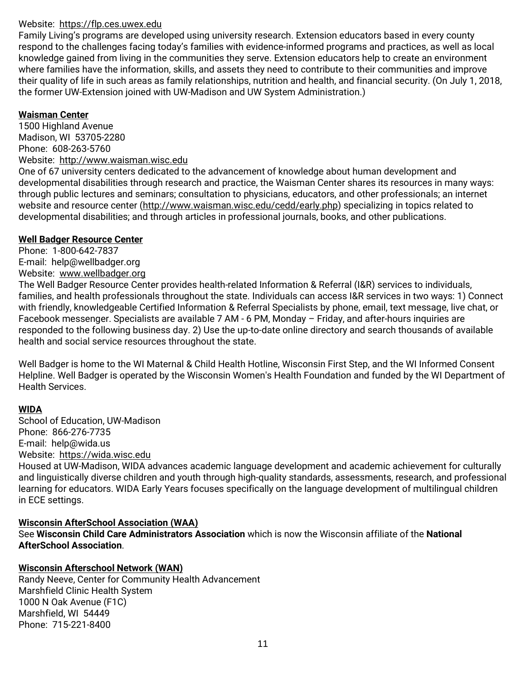#### Website: [https://flp.ces.uwex.edu](https://flp.ces.uwex.edu/)

Family Living's programs are developed using university research. Extension educators based in every county respond to the challenges facing today's families with evidence-informed programs and practices, as well as local knowledge gained from living in the communities they serve. Extension educators help to create an environment where families have the information, skills, and assets they need to contribute to their communities and improve their quality of life in such areas as family relationships, nutrition and health, and financial security. (On July 1, 2018, the former UW-Extension joined with UW-Madison and UW System Administration.)

#### **Waisman Center**

1500 Highland Avenue Madison, WI 53705-2280 Phone: 608-263-5760 Website:[http://www.waisman.wisc.edu](http://www.waisman.wisc.edu/)

One of 67 university centers dedicated to the advancement of knowledge about human development and developmental disabilities through research and practice, the Waisman Center shares its resources in many ways: through public lectures and seminars; consultation to physicians, educators, and other professionals; an internet website and resource center [\(http://www.waisman.wisc.edu/cedd/early.php\)](http://www.waisman.wisc.edu/cedd/early.php) specializing in topics related to developmental disabilities; and through articles in professional journals, books, and other publications.

#### **Well Badger Resource Center**

Phone: 1-800-642-7837 E-mail: help@wellbadger.org Website: [www.wellbadger.org](http://www.wellbadger.org/)

The Well Badger Resource Center provides health-related Information & Referral (I&R) services to individuals, families, and health professionals throughout the state. Individuals can access I&R services in two ways: 1) Connect with friendly, knowledgeable Certified Information & Referral Specialists by phone, email, text message, live chat, or Facebook messenger. Specialists are available 7 AM - 6 PM, Monday – Friday, and after-hours inquiries are responded to the following business day. 2) Use the up-to-date online directory and search thousands of available health and social service resources throughout the state.

Well Badger is home to the WI Maternal & Child Health Hotline, Wisconsin First Step, and the WI Informed Consent Helpline. Well Badger is operated by the Wisconsin Women's Health Foundation and funded by the WI Department of Health Services.

# **WIDA**

School of Education, UW-Madison Phone: 866-276-7735 E-mail: [help@wida.us](mailto:help@wida.us)  Website: [https://wida.wisc.edu](https://wida.wisc.edu/)

Housed at UW-Madison, WIDA advances academic language development and academic achievement for culturally and linguistically diverse children and youth through high-quality standards, assessments, research, and professional learning for educators. WIDA Early Years focuses specifically on the language development of multilingual children in ECE settings.

# **Wisconsin AfterSchool Association (WAA)**

See **Wisconsin Child Care Administrators Association** which is now the Wisconsin affiliate of the **National AfterSchool Association**.

# **Wisconsin Afterschool Network (WAN)**

Randy Neeve, Center for Community Health Advancement Marshfield Clinic Health System 1000 N Oak Avenue (F1C) Marshfield, WI 54449 Phone: 715-221-8400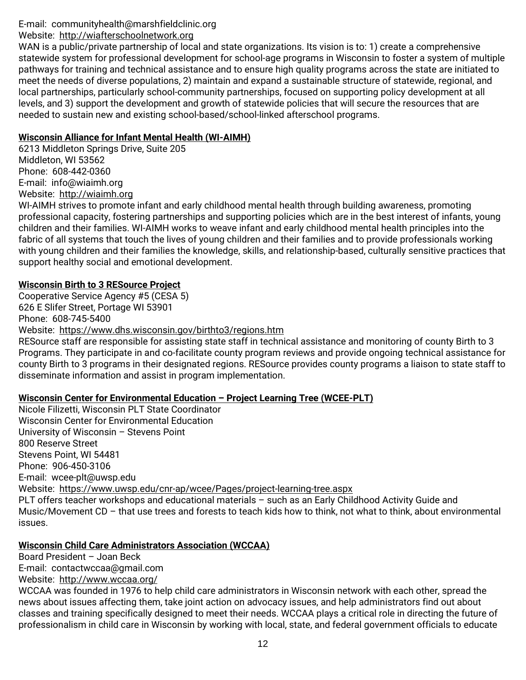# E-mail: [communityhealth@marshfieldclinic.org](mailto:communityhealth@marshfieldclinic.org)

# Website: [http://wiafterschoolnetwork.org](http://wiafterschoolnetwork.org/)

WAN is a public/private partnership of local and state organizations. Its vision is to: 1) create a comprehensive statewide system for professional development for school-age programs in Wisconsin to foster a system of multiple pathways for training and technical assistance and to ensure high quality programs across the state are initiated to meet the needs of diverse populations, 2) maintain and expand a sustainable structure of statewide, regional, and local partnerships, particularly school-community partnerships, focused on supporting policy development at all levels, and 3) support the development and growth of statewide policies that will secure the resources that are needed to sustain new and existing school-based/school-linked afterschool programs.

#### **Wisconsin Alliance for Infant Mental Health (WI-AIMH)**

6213 Middleton Springs Drive, Suite 205 Middleton, WI 53562 Phone: 608-442-0360 E-mail: [info@wiaimh.org](mailto:info@wiaimh.org) Website: [http://wiaimh.org](http://wiaimh.org/)

WI-AIMH strives to promote infant and early childhood mental health through building awareness, promoting professional capacity, fostering partnerships and supporting policies which are in the best interest of infants, young children and their families. WI-AIMH works to weave infant and early childhood mental health principles into the fabric of all systems that touch the lives of young children and their families and to provide professionals working with young children and their families the knowledge, skills, and relationship-based, culturally sensitive practices that support healthy social and emotional development.

# **Wisconsin Birth to 3 RESource Project**

Cooperative Service Agency #5 (CESA 5) 626 E Slifer Street, Portage WI 53901 Phone: 608-745-5400

Website: <https://www.dhs.wisconsin.gov/birthto3/regions.htm>

RESource staff are responsible for assisting state staff in technical assistance and monitoring of county Birth to 3 Programs. They participate in and co-facilitate county program reviews and provide ongoing technical assistance for county Birth to 3 programs in their designated regions. RESource provides county programs a liaison to state staff to disseminate information and assist in program implementation.

# **Wisconsin Center for Environmental Education – Project Learning Tree (WCEE-PLT)**

Nicole Filizetti, Wisconsin PLT State Coordinator Wisconsin Center for Environmental Education University of Wisconsin – Stevens Point 800 Reserve Street Stevens Point, WI 54481 Phone: 906-450-3106 E-mail: wcee-plt@uwsp.edu Website: <https://www.uwsp.edu/cnr-ap/wcee/Pages/project-learning-tree.aspx> PLT offers teacher workshops and educational materials – such as an Early Childhood Activity Guide and Music/Movement CD – that use trees and forests to teach kids how to think, not what to think, about environmental issues.

# **Wisconsin Child Care Administrators Association (WCCAA)**

Board President – Joan Beck E-mail: [contactwccaa@gmail.com](mailto:contactwccaa@gmail.com)

Website: <http://www.wccaa.org/>

WCCAA was founded in 1976 to help child care administrators in Wisconsin network with each other, spread the news about issues affecting them, take joint action on advocacy issues, and help administrators find out about classes and training specifically designed to meet their needs. WCCAA plays a critical role in directing the future of professionalism in child care in Wisconsin by working with local, state, and federal government officials to educate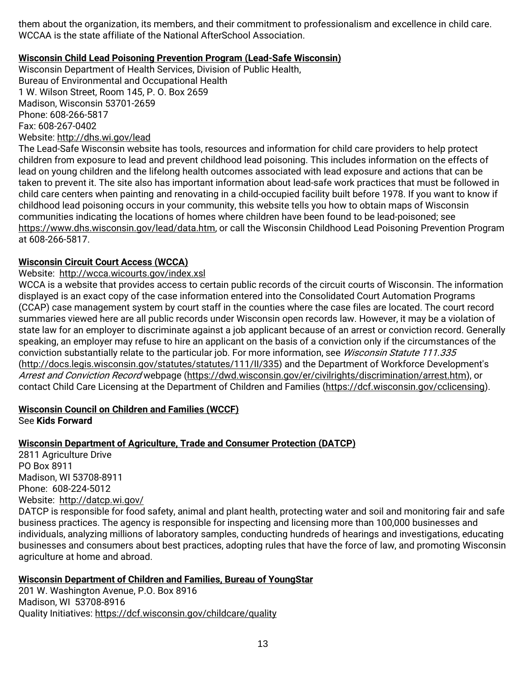them about the organization, its members, and their commitment to professionalism and excellence in child care. WCCAA is the state affiliate of the National AfterSchool Association.

# **Wisconsin Child Lead Poisoning Prevention Program (Lead-Safe Wisconsin)**

Wisconsin Department of Health Services, Division of Public Health, Bureau of Environmental and Occupational Health 1 W. Wilson Street, Room 145, P. O. Box 2659 Madison, Wisconsin 53701-2659 Phone: 608-266-5817 Fax: 608-267-0402 Website:<http://dhs.wi.gov/lead>

The Lead-Safe Wisconsin website has tools, resources and information for child care providers to help protect children from exposure to lead and prevent childhood lead poisoning. This includes information on the effects of lead on young children and the lifelong health outcomes associated with lead exposure and actions that can be taken to prevent it. The site also has important information about lead-safe work practices that must be followed in child care centers when painting and renovating in a child-occupied facility built before 1978. If you want to know if childhood lead poisoning occurs in your community, this website tells you how to obtain maps of Wisconsin communities indicating the locations of homes where children have been found to be lead-poisoned; see [https://www.dhs.wisconsin.gov/lead/data.htm,](https://www.dhs.wisconsin.gov/lead/data.htm) or call the Wisconsin Childhood Lead Poisoning Prevention Program at 608-266-5817.

#### **Wisconsin Circuit Court Access (WCCA)**

#### Website: <http://wcca.wicourts.gov/index.xsl>

WCCA is a website that provides access to certain public records of the circuit courts of Wisconsin. The information displayed is an exact copy of the case information entered into the Consolidated Court Automation Programs (CCAP) case management system by court staff in the counties where the case files are located. The court record summaries viewed here are all public records under Wisconsin open records law. However, it may be a violation of state law for an employer to discriminate against a job applicant because of an arrest or conviction record. Generally speaking, an employer may refuse to hire an applicant on the basis of a conviction only if the circumstances of the conviction substantially relate to the particular job. For more information, see Wisconsin Statute 111.335 [\(http://docs.legis.wisconsin.gov/statutes/statutes/111/II/335\)](http://docs.legis.wisconsin.gov/statutes/statutes/111/II/335) and the Department of Workforce Development's Arrest and Conviction Record webpage [\(https://dwd.wisconsin.gov/er/civilrights/discrimination/arrest.htm\)](https://dwd.wisconsin.gov/er/civilrights/discrimination/arrest.htm), or contact Child Care Licensing at the Department of Children and Families [\(https://dcf.wisconsin.gov/cclicensing\)](https://dcf.wisconsin.gov/cclicensing).

# **Wisconsin Council on Children and Families (WCCF)**

See **Kids Forward**

# **Wisconsin Department of Agriculture, Trade and Consumer Protection (DATCP)**

2811 Agriculture Drive PO Box 8911 Madison, WI 53708-8911 Phone: 608-224-5012 Website: <http://datcp.wi.gov/>

DATCP is responsible for food safety, animal and plant health, protecting water and soil and monitoring fair and safe business practices. The agency is responsible for inspecting and licensing more than 100,000 businesses and individuals, analyzing millions of laboratory samples, conducting hundreds of hearings and investigations, educating businesses and consumers about best practices, adopting rules that have the force of law, and promoting Wisconsin agriculture at home and abroad.

# **Wisconsin Department of Children and Families, Bureau of YoungStar**

201 W. Washington Avenue, P.O. Box 8916 Madison, WI 53708-8916 Quality Initiatives:<https://dcf.wisconsin.gov/childcare/quality>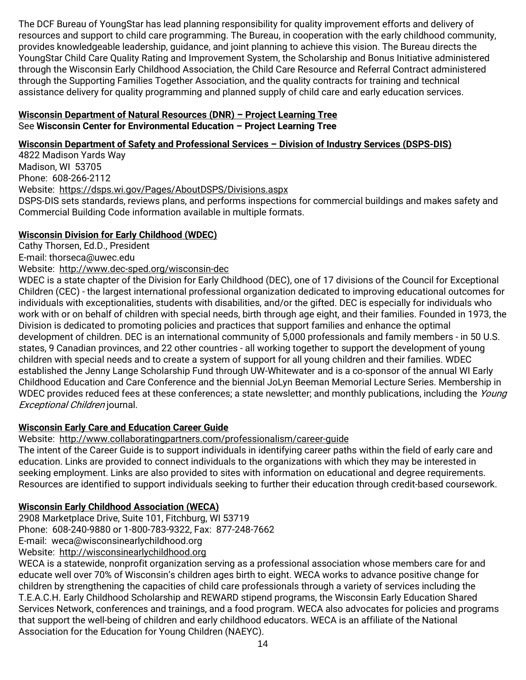The DCF Bureau of YoungStar has lead planning responsibility for quality improvement efforts and delivery of resources and support to child care programming. The Bureau, in cooperation with the early childhood community, provides knowledgeable leadership, guidance, and joint planning to achieve this vision. The Bureau directs the YoungStar Child Care Quality Rating and Improvement System, the Scholarship and Bonus Initiative administered through the Wisconsin Early Childhood Association, the Child Care Resource and Referral Contract administered through the Supporting Families Together Association, and the quality contracts for training and technical assistance delivery for quality programming and planned supply of child care and early education services.

# **Wisconsin Department of Natural Resources (DNR) – Project Learning Tree** See **Wisconsin Center for Environmental Education – Project Learning Tree**

# **Wisconsin Department of Safety and Professional Services – Division of Industry Services (DSPS-DIS)**

4822 Madison Yards Way Madison, WI 53705 Phone: 608-266-2112 Website: https://dsps.wi.gov/Pages/AboutDSPS/Divisions.aspx DSPS-DIS sets standards, reviews plans, and performs inspections for commercial buildings and makes safety and Commercial Building Code information available in multiple formats.

# **Wisconsin Division for Early Childhood (WDEC)**

Cathy Thorsen, Ed.D., President

E-mail: thorseca@uwec.edu

Website: <http://www.dec-sped.org/wisconsin-dec>

WDEC is a state chapter of the Division for Early Childhood (DEC), one of 17 divisions of the Council for Exceptional Children (CEC) - the largest international professional organization dedicated to improving educational outcomes for individuals with exceptionalities, students with disabilities, and/or the gifted. DEC is especially for individuals who work with or on behalf of children with special needs, birth through age eight, and their families. Founded in 1973, the Division is dedicated to promoting policies and practices that support families and enhance the optimal development of children. DEC is an international community of 5,000 professionals and family members - in 50 U.S. states, 9 Canadian provinces, and 22 other countries - all working together to support the development of young children with special needs and to create a system of support for all young children and their families. WDEC established the Jenny Lange Scholarship Fund through UW-Whitewater and is a co-sponsor of the annual WI Early Childhood Education and Care Conference and the biennial JoLyn Beeman Memorial Lecture Series. Membership in WDEC provides reduced fees at these conferences; a state newsletter; and monthly publications, including the Young Exceptional Children journal.

# **Wisconsin Early Care and Education Career Guide**

Website: <http://www.collaboratingpartners.com/professionalism/career-guide>

The intent of the Career Guide is to support individuals in identifying career paths within the field of early care and education. Links are provided to connect individuals to the organizations with which they may be interested in seeking employment. Links are also provided to sites with information on educational and degree requirements. Resources are identified to support individuals seeking to further their education through credit-based coursework.

# **Wisconsin Early Childhood Association (WECA)**

2908 Marketplace Drive, Suite 101, Fitchburg, WI 53719 Phone: 608-240-9880 or 1-800-783-9322, Fax: 877-248-7662 E-mail: [weca@wisconsinearlychildhood.org](mailto:weca@wisconsinearlychildhood.org) Website: [http://wisconsinearlychildhood.org](http://wisconsinearlychildhood.org/)

WECA is a statewide, nonprofit organization serving as a professional association whose members care for and educate well over 70% of Wisconsin's children ages birth to eight. WECA works to advance positive change for children by strengthening the capacities of child care professionals through a variety of services including the T.E.A.C.H. Early Childhood Scholarship and REWARD stipend programs, the Wisconsin Early Education Shared Services Network, conferences and trainings, and a food program. WECA also advocates for policies and programs that support the well-being of children and early childhood educators. WECA is an affiliate of the National Association for the Education for Young Children (NAEYC).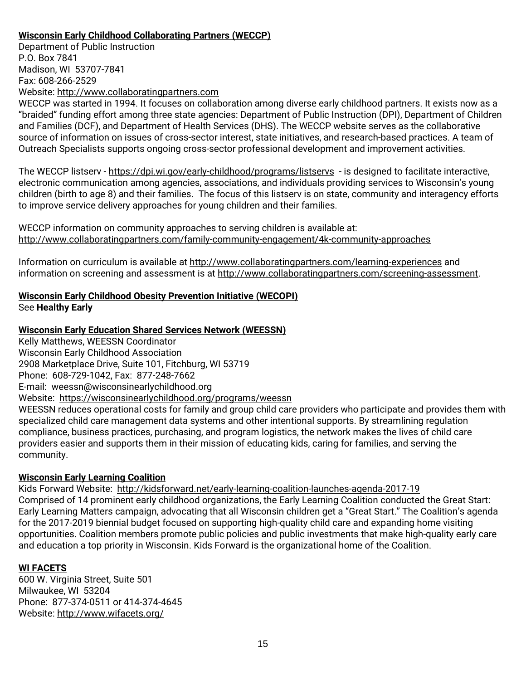# **Wisconsin Early Childhood Collaborating Partners (WECCP)**

Department of Public Instruction P.O. Box 7841 Madison, WI 53707-7841 Fax: 608-266-2529 Website: [http://www.collaboratingpartners.com](http://www.collaboratingpartners.com/)

WECCP was started in 1994. It focuses on collaboration among diverse early childhood partners. It exists now as a "braided" funding effort among three state agencies: Department of Public Instruction (DPI), Department of Children and Families (DCF), and Department of Health Services (DHS). The WECCP website serves as the collaborative source of information on issues of cross-sector interest, state initiatives, and research-based practices. A team of Outreach Specialists supports ongoing cross-sector professional development and improvement activities.

The WECCP listserv - <https://dpi.wi.gov/early-childhood/programs/listservs>- is designed to facilitate interactive, electronic communication among agencies, associations, and individuals providing services to Wisconsin's young children (birth to age 8) and their families. The focus of this listserv is on state, community and interagency efforts to improve service delivery approaches for young children and their families.

WECCP information on community approaches to serving children is available at: <http://www.collaboratingpartners.com/family-community-engagement/4k-community-approaches>

Information on curriculum is available at <http://www.collaboratingpartners.com/learning-experiences> and information on screening and assessment is at [http://www.collaboratingpartners.com/screening-assessment.](http://www.collaboratingpartners.com/screening-assessment/)

# **Wisconsin Early Childhood Obesity Prevention Initiative (WECOPI)** See **Healthy Early**

# **Wisconsin Early Education Shared Services Network (WEESSN)**

Kelly Matthews, WEESSN Coordinator Wisconsin Early Childhood Association 2908 Marketplace Drive, Suite 101, Fitchburg, WI 53719 Phone: 608-729-1042, Fax: 877-248-7662 E-mail: [weessn@wisconsinearlychildhood.org](mailto:weessn@wisconsinearlychildhood.org) Website: <https://wisconsinearlychildhood.org/programs/weessn> WEESSN reduces operational costs for family and group child care providers who participate and provides them with specialized child care management data systems and other intentional supports. By streamlining regulation compliance, business practices, purchasing, and program logistics, the network makes the lives of child care providers easier and supports them in their mission of educating kids, caring for families, and serving the community.

# **Wisconsin Early Learning Coalition**

Kids Forward Website: <http://kidsforward.net/early-learning-coalition-launches-agenda-2017-19> Comprised of 14 prominent early childhood organizations, the Early Learning Coalition conducted the Great Start: Early Learning Matters campaign, advocating that all Wisconsin children get a "Great Start." The Coalition's agenda for the 2017-2019 biennial budget focused on supporting high-quality child care and expanding home visiting opportunities. Coalition members promote public policies and public investments that make high-quality early care and education a top priority in Wisconsin. Kids Forward is the organizational home of the Coalition.

# **WI FACETS**

600 W. Virginia Street, Suite 501 Milwaukee, WI 53204 Phone: 877-374-0511 or 414-374-4645 Website:<http://www.wifacets.org/>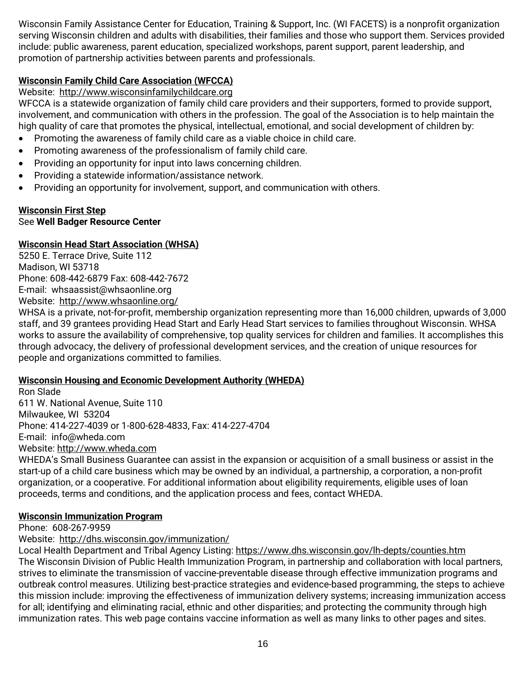Wisconsin Family Assistance Center for Education, Training & Support, Inc. (WI FACETS) is a nonprofit organization serving Wisconsin children and adults with disabilities, their families and those who support them. Services provided include: public awareness, parent education, specialized workshops, parent support, parent leadership, and promotion of partnership activities between parents and professionals.

# **Wisconsin Family Child Care Association (WFCCA)**

# Website: [http://www.wisconsinfamilychildcare.org](http://www.wisconsinfamilychildcare.org/)

WFCCA is a statewide organization of family child care providers and their supporters, formed to provide support, involvement, and communication with others in the profession. The goal of the Association is to help maintain the high quality of care that promotes the physical, intellectual, emotional, and social development of children by:

- Promoting the awareness of family child care as a viable choice in child care.
- Promoting awareness of the professionalism of family child care.
- Providing an opportunity for input into laws concerning children.
- Providing a statewide information/assistance network.
- Providing an opportunity for involvement, support, and communication with others.

# **Wisconsin First Step**

# See **Well Badger Resource Center**

# **Wisconsin Head Start Association (WHSA)**

5250 E. Terrace Drive, Suite 112 Madison, WI 53718 Phone: 608-442-6879 Fax: 608-442-7672 E-mail: [whsaassist@whsaonline.org](mailto:whsaassist@whsaonline.org) Website: <http://www.whsaonline.org/>

WHSA is a private, not-for-profit, membership organization representing more than 16,000 children, upwards of 3,000 staff, and 39 grantees providing Head Start and Early Head Start services to families throughout Wisconsin. WHSA works to assure the availability of comprehensive, top quality services for children and families. It accomplishes this through advocacy, the delivery of professional development services, and the creation of unique resources for people and organizations committed to families.

# **Wisconsin Housing and Economic Development Authority (WHEDA)**

Ron Slade 611 W. National Avenue, Suite 110 Milwaukee, WI 53204 Phone: 414-227-4039 or 1-800-628-4833, Fax: 414-227-4704 E-mail: [info@wheda.com](mailto:info@wheda.com) Website: http:/[/www.wheda.com](http://www.wheda.com/)

WHEDA's Small Business Guarantee can assist in the expansion or acquisition of a small business or assist in the start-up of a child care business which may be owned by an individual, a partnership, a corporation, a non-profit organization, or a cooperative. For additional information about eligibility requirements, eligible uses of loan proceeds, terms and conditions, and the application process and fees, contact WHEDA.

# **Wisconsin Immunization Program**

Phone: 608-267-9959

# Website: <http://dhs.wisconsin.gov/immunization/>

Local Health Department and Tribal Agency Listing: https://www.dhs.wisconsin.gov/lh-depts/counties.htm The Wisconsin Division of Public Health Immunization Program, in partnership and collaboration with local partners, strives to eliminate the transmission of vaccine-preventable disease through effective immunization programs and outbreak control measures. Utilizing best-practice strategies and evidence-based programming, the steps to achieve this mission include: improving the effectiveness of immunization delivery systems; increasing immunization access for all; identifying and eliminating racial, ethnic and other disparities; and protecting the community through high immunization rates. This web page contains vaccine information as well as many links to other pages and sites.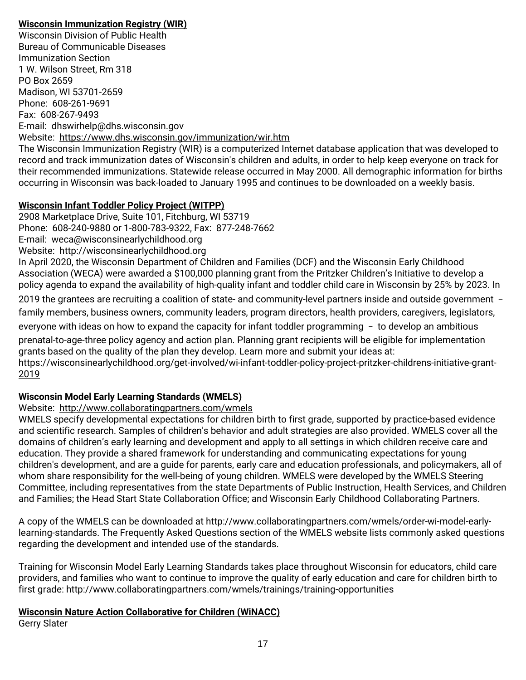# **Wisconsin Immunization Registry (WIR)**

Wisconsin Division of Public Health Bureau of Communicable Diseases Immunization Section 1 W. Wilson Street, Rm 318 PO Box 2659 Madison, WI 53701-2659 Phone: 608-261-9691 Fax: 608-267-9493 E-mail: dhswirhelp@dhs.wisconsin.gov Website: <https://www.dhs.wisconsin.gov/immunization/wir.htm>

The Wisconsin Immunization Registry (WIR) is a computerized Internet database application that was developed to record and track immunization dates of Wisconsin's children and adults, in order to help keep everyone on track for their recommended immunizations. Statewide release occurred in May 2000. All demographic information for births occurring in Wisconsin was back-loaded to January 1995 and continues to be downloaded on a weekly basis.

# **Wisconsin Infant Toddler Policy Project (WITPP)**

2908 Marketplace Drive, Suite 101, Fitchburg, WI 53719 Phone: 608-240-9880 or 1-800-783-9322, Fax: 877-248-7662 E-mail: [weca@wisconsinearlychildhood.org](mailto:weca@wisconsinearlychildhood.org) Website: [http://wisconsinearlychildhood.org](http://wisconsinearlychildhood.org/)

In April 2020, the Wisconsin Department of Children and Families (DCF) and the Wisconsin Early Childhood Association (WECA) were awarded a \$100,000 planning grant from the Pritzker Children's Initiative to develop a policy agenda to expand the availability of high-quality infant and toddler child care in Wisconsin by 25% by 2023. In

2019 the grantees are recruiting a coalition of state- and community-level partners inside and outside government family members, business owners, community leaders, program directors, health providers, caregivers, legislators,

everyone with ideas on how to expand the capacity for infant toddler programming  $-$  to develop an ambitious prenatal-to-age-three policy agency and action plan. Planning grant recipients will be eligible for implementation

grants based on the quality of the plan they develop. Learn more and submit your ideas at: [https://wisconsinearlychildhood.org/get-involved/wi-infant-toddler-policy-project-pritzker-childrens-initiative-grant-](https://wisconsinearlychildhood.org/get-involved/wi-infant-toddler-policy-project-pritzker-childrens-initiative-grant-2019)

# [2019](https://wisconsinearlychildhood.org/get-involved/wi-infant-toddler-policy-project-pritzker-childrens-initiative-grant-2019)

# **Wisconsin Model Early Learning Standards (WMELS)**

# Website: <http://www.collaboratingpartners.com/wmels>

WMELS specify developmental expectations for children birth to first grade, supported by practice-based evidence and scientific research. Samples of children's behavior and adult strategies are also provided. WMELS cover all the domains of children's early learning and development and apply to all settings in which children receive care and education. They provide a shared framework for understanding and communicating expectations for young children's development, and are a guide for parents, early care and education professionals, and policymakers, all of whom share responsibility for the well-being of young children. WMELS were developed by the WMELS Steering Committee, including representatives from the state Departments of Public Instruction, Health Services, and Children and Families; the Head Start State Collaboration Office; and Wisconsin Early Childhood Collaborating Partners.

A copy of the WMELS can be downloaded at http://www.collaboratingpartners.com/wmels/order-wi-model-earlylearning-standards. The Frequently Asked Questions section of the WMELS website lists commonly asked questions regarding the development and intended use of the standards.

Training for Wisconsin Model Early Learning Standards takes place throughout Wisconsin for educators, child care providers, and families who want to continue to improve the quality of early education and care for children birth to first grade: http://www.collaboratingpartners.com/wmels/trainings/training-opportunities

# **Wisconsin Nature Action Collaborative for Children (WiNACC)**

Gerry Slater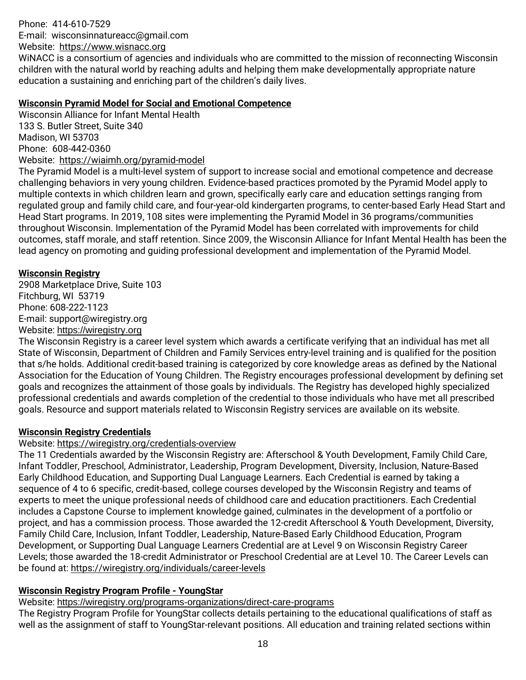Phone: 414-610-7529 E-mail: wisconsinnatureacc@gmail.com

Website: [https://www.wisnacc.org](https://www.wisnacc.org/)

WiNACC is a consortium of agencies and individuals who are committed to the mission of reconnecting Wisconsin children with the natural world by reaching adults and helping them make developmentally appropriate nature education a sustaining and enriching part of the children's daily lives.

#### **Wisconsin Pyramid Model for Social and Emotional Competence**

Wisconsin Alliance for Infant Mental Health 133 S. Butler Street, Suite 340 Madison, WI 53703 Phone: 608-442-0360 Website: <https://wiaimh.org/pyramid-model>

The Pyramid Model is a multi-level system of support to increase social and emotional competence and decrease challenging behaviors in very young children. Evidence-based practices promoted by the Pyramid Model apply to multiple contexts in which children learn and grown, specifically early care and education settings ranging from regulated group and family child care, and four-year-old kindergarten programs, to center-based Early Head Start and Head Start programs. In 2019, 108 sites were implementing the Pyramid Model in 36 programs/communities throughout Wisconsin. Implementation of the Pyramid Model has been correlated with improvements for child outcomes, staff morale, and staff retention. Since 2009, the Wisconsin Alliance for Infant Mental Health has been the lead agency on promoting and guiding professional development and implementation of the Pyramid Model.

#### **Wisconsin Registry**

2908 Marketplace Drive, Suite 103 Fitchburg, WI 53719 Phone: 608-222-1123 E-mail: [support@wiregistry.org](mailto:support@wiregistry.org) Website: [https://wiregistry.org](https://wiregistry.org/)

The Wisconsin Registry is a career level system which awards a certificate verifying that an individual has met all State of Wisconsin, Department of Children and Family Services entry-level training and is qualified for the position that s/he holds. Additional credit-based training is categorized by core knowledge areas as defined by the National Association for the Education of Young Children. The Registry encourages professional development by defining set goals and recognizes the attainment of those goals by individuals. The Registry has developed highly specialized professional credentials and awards completion of the credential to those individuals who have met all prescribed goals. Resource and support materials related to Wisconsin Registry services are available on its website.

# **Wisconsin Registry Credentials**

# Website:<https://wiregistry.org/credentials-overview>

The 11 Credentials awarded by the Wisconsin Registry are: Afterschool & Youth Development, Family Child Care, Infant Toddler, Preschool, Administrator, Leadership, Program Development, Diversity, Inclusion, Nature-Based Early Childhood Education, and Supporting Dual Language Learners. Each Credential is earned by taking a sequence of 4 to 6 specific, credit-based, college courses developed by the Wisconsin Registry and teams of experts to meet the unique professional needs of childhood care and education practitioners. Each Credential includes a Capstone Course to implement knowledge gained, culminates in the development of a portfolio or project, and has a commission process. Those awarded the 12-credit Afterschool & Youth Development, Diversity, Family Child Care, Inclusion, Infant Toddler, Leadership, Nature-Based Early Childhood Education, Program Development, or Supporting Dual Language Learners Credential are at Level 9 on Wisconsin Registry Career Levels; those awarded the 18-credit Administrator or Preschool Credential are at Level 10. The Career Levels can be found at:<https://wiregistry.org/individuals/career-levels>

# **Wisconsin Registry Program Profile - YoungStar**

Website: <https://wiregistry.org/programs-organizations/direct-care-programs>

The Registry Program Profile for YoungStar collects details pertaining to the educational qualifications of staff as well as the assignment of staff to YoungStar-relevant positions. All education and training related sections within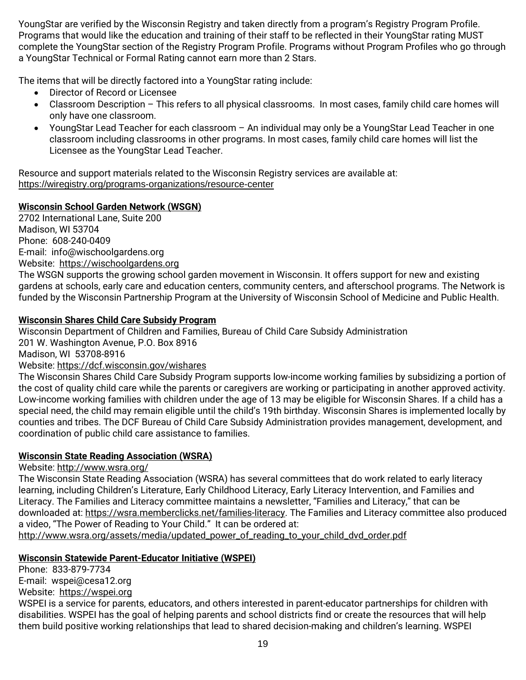YoungStar are verified by the Wisconsin Registry and taken directly from a program's Registry Program Profile. Programs that would like the education and training of their staff to be reflected in their YoungStar rating MUST complete the YoungStar section of the Registry Program Profile. Programs without Program Profiles who go through a YoungStar Technical or Formal Rating cannot earn more than 2 Stars.

The items that will be directly factored into a YoungStar rating include:

- Director of Record or Licensee
- Classroom Description This refers to all physical classrooms. In most cases, family child care homes will only have one classroom.
- YoungStar Lead Teacher for each classroom An individual may only be a YoungStar Lead Teacher in one classroom including classrooms in other programs. In most cases, family child care homes will list the Licensee as the YoungStar Lead Teacher.

Resource and support materials related to the Wisconsin Registry services are available at: <https://wiregistry.org/programs-organizations/resource-center>

# **Wisconsin School Garden Network (WSGN)**

2702 International Lane, Suite 200 Madison, WI 53704 Phone: 608-240-0409 E-mail: [info@wischoolgardens.org](mailto:info@wischoolgardens.org) Website: [https://wischoolgardens.org](https://wischoolgardens.org/) 

The WSGN supports the growing school garden movement in Wisconsin. It offers support for new and existing gardens at schools, early care and education centers, community centers, and afterschool programs. The Network is funded by the Wisconsin Partnership Program at the University of Wisconsin School of Medicine and Public Health.

# **Wisconsin Shares Child Care Subsidy Program**

Wisconsin Department of Children and Families, Bureau of Child Care Subsidy Administration 201 W. Washington Avenue, P.O. Box 8916 Madison, WI 53708-8916 Website:<https://dcf.wisconsin.gov/wishares> The Wisconsin Shares Child Care Subsidy Program supports low-income working families by subsidizing a portion of

the cost of quality child care while the parents or caregivers are working or participating in another approved activity. Low-income working families with children under the age of 13 may be eligible for Wisconsin Shares. If a child has a special need, the child may remain eligible until the child's 19th birthday. Wisconsin Shares is implemented locally by counties and tribes. The DCF Bureau of Child Care Subsidy Administration provides management, development, and coordination of public child care assistance to families.

# **Wisconsin State Reading Association (WSRA)**

Website:<http://www.wsra.org/>

The Wisconsin State Reading Association (WSRA) has several committees that do work related to early literacy learning, including Children's Literature, Early Childhood Literacy, Early Literacy Intervention, and Families and Literacy. The Families and Literacy committee maintains a newsletter, "Families and Literacy," that can be downloaded at: [https://wsra.memberclicks.net/families-literacy.](https://wsra.memberclicks.net/families-literacy) The Families and Literacy committee also produced a video, "The Power of Reading to Your Child." It can be ordered at:

[http://www.wsra.org/assets/media/updated\\_power\\_of\\_reading\\_to\\_your\\_child\\_dvd\\_order.pdf](http://www.wsra.org/assets/media/updated_power_of_reading_to_your_child_dvd_order.pdf)

# **Wisconsin Statewide Parent-Educator Initiative (WSPEI)**

Phone: 833-879-7734 E-mail: [wspei@cesa12.org](mailto:wspei@cesa12.org) Website: [https://wspei.org](https://wspei.org/)

WSPEI is a service for parents, educators, and others interested in parent-educator partnerships for children with disabilities. WSPEI has the goal of helping parents and school districts find or create the resources that will help them build positive working relationships that lead to shared decision-making and children's learning. WSPEI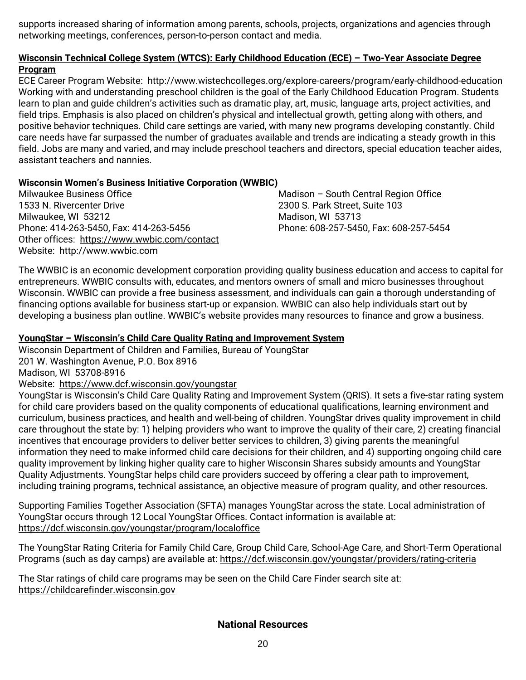supports increased sharing of information among parents, schools, projects, organizations and agencies through networking meetings, conferences, person-to-person contact and media.

#### **Wisconsin Technical College System (WTCS): Early Childhood Education (ECE) – Two-Year Associate Degree Program**

ECE Career Program Website: <http://www.wistechcolleges.org/explore-careers/program/early-childhood-education> Working with and understanding preschool children is the goal of the Early Childhood Education Program. Students learn to plan and guide children's activities such as dramatic play, art, music, language arts, project activities, and field trips. Emphasis is also placed on children's physical and intellectual growth, getting along with others, and positive behavior techniques. Child care settings are varied, with many new programs developing constantly. Child care needs have far surpassed the number of graduates available and trends are indicating a steady growth in this field. Jobs are many and varied, and may include preschool teachers and directors, special education teacher aides, assistant teachers and nannies.

#### **Wisconsin Women's Business Initiative Corporation (WWBIC)**

Milwaukee Business Office 1533 N. Rivercenter Drive Milwaukee, WI 53212 Phone: 414-263-5450, Fax: 414-263-5456 Other offices: <https://www.wwbic.com/contact> Website: [http://www.wwbic.com](http://www.wwbic.com/)

Madison – South Central Region Office 2300 S. Park Street, Suite 103 Madison, WI 53713 Phone: 608-257-5450, Fax: 608-257-5454

The WWBIC is an economic development corporation providing quality business education and access to capital for entrepreneurs. WWBIC consults with, educates, and mentors owners of small and micro businesses throughout Wisconsin. WWBIC can provide a free business assessment, and individuals can gain a thorough understanding of financing options available for business start-up or expansion. WWBIC can also help individuals start out by developing a business plan outline. WWBIC's website provides many resources to finance and grow a business.

#### **YoungStar – Wisconsin's Child Care Quality Rating and Improvement System**

Wisconsin Department of Children and Families, Bureau of YoungStar 201 W. Washington Avenue, P.O. Box 8916 Madison, WI 53708-8916 Website: <https://www.dcf.wisconsin.gov/youngstar>

YoungStar is Wisconsin's Child Care Quality Rating and Improvement System (QRIS). It sets a five-star rating system for child care providers based on the quality components of educational qualifications, learning environment and curriculum, business practices, and health and well-being of children. YoungStar drives quality improvement in child care throughout the state by: 1) helping providers who want to improve the quality of their care, 2) creating financial incentives that encourage providers to deliver better services to children, 3) giving parents the meaningful information they need to make informed child care decisions for their children, and 4) supporting ongoing child care quality improvement by linking higher quality care to higher Wisconsin Shares subsidy amounts and YoungStar Quality Adjustments. YoungStar helps child care providers succeed by offering a clear path to improvement, including training programs, technical assistance, an objective measure of program quality, and other resources.

Supporting Families Together Association (SFTA) manages YoungStar across the state. Local administration of YoungStar occurs through 12 Local YoungStar Offices. Contact information is available at: <https://dcf.wisconsin.gov/youngstar/program/localoffice>

The YoungStar Rating Criteria for Family Child Care, Group Child Care, School-Age Care, and Short-Term Operational Programs (such as day camps) are available at: <https://dcf.wisconsin.gov/youngstar/providers/rating-criteria>

The Star ratings of child care programs may be seen on the Child Care Finder search site at: [https://childcarefinder.wisconsin.gov](https://childcarefinder.wisconsin.gov/)

# **National Resources**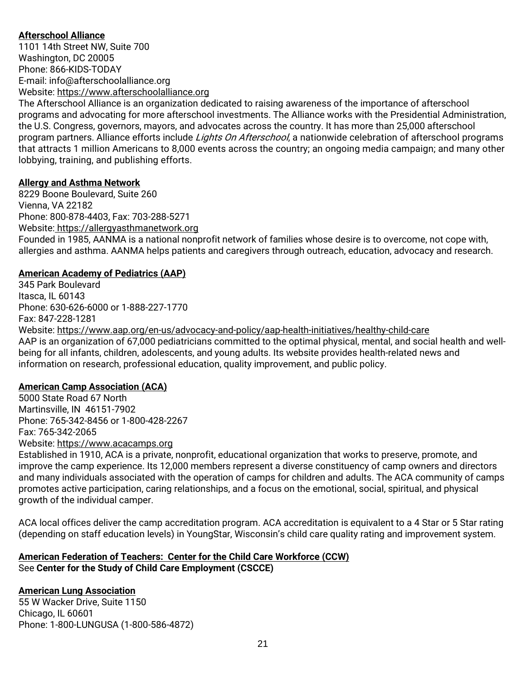# **Afterschool Alliance**

1101 14th Street NW, Suite 700 Washington, DC 20005 Phone: 866-KIDS-TODAY E-mail: [info@afterschoolalliance.org](mailto:info@afterschoolalliance.org) Website: [https://www.afterschoolalliance.org](https://www.afterschoolalliance.org/)

The Afterschool Alliance is an organization dedicated to raising awareness of the importance of afterschool programs and advocating for more afterschool investments. The Alliance works with the Presidential Administration, the U.S. Congress, governors, mayors, and advocates across the country. It has more than 25,000 afterschool program partners. Alliance efforts include Lights On Afterschool, a nationwide celebration of afterschool programs that attracts 1 million Americans to 8,000 events across the country; an ongoing media campaign; and many other lobbying, training, and publishing efforts.

#### **Allergy and Asthma Network**

8229 Boone Boulevard, Suite 260 Vienna, VA 22182 Phone: 800-878-4403, Fax: 703-288-5271 Website: [https://allergyasthmanetwork.org](https://allergyasthmanetwork.org/)  Founded in 1985, AANMA is a national nonprofit network of families whose desire is to overcome, not cope with, allergies and asthma. AANMA helps patients and caregivers through outreach, education, advocacy and research.

#### **American Academy of Pediatrics (AAP)**

345 Park Boulevard Itasca, IL 60143 Phone: 630-626-6000 or 1-888-227-1770 Fax: 847-228-1281 Website:<https://www.aap.org/en-us/advocacy-and-policy/aap-health-initiatives/healthy-child-care> AAP is an organization of 67,000 pediatricians committed to the optimal physical, mental, and social health and wellbeing for all infants, children, adolescents, and young adults. Its website provides health-related news and information on research, professional education, quality improvement, and public policy.

#### **American Camp Association (ACA)**

5000 State Road 67 North Martinsville, IN 46151-7902 Phone: 765-342-8456 or 1-800-428-2267 Fax: 765-342-2065 Website: [https://www.acacamps.org](https://www.acacamps.org/) 

Established in 1910, ACA is a private, nonprofit, educational organization that works to preserve, promote, and improve the camp experience. Its 12,000 members represent a diverse constituency of camp owners and directors and many individuals associated with the operation of camps for children and adults. The ACA community of camps promotes active participation, caring relationships, and a focus on the emotional, social, spiritual, and physical growth of the individual camper.

ACA local offices deliver the camp accreditation program. ACA accreditation is equivalent to a 4 Star or 5 Star rating (depending on staff education levels) in YoungStar, Wisconsin's child care quality rating and improvement system.

# **American Federation of Teachers: Center for the Child Care Workforce (CCW)** See **Center for the Study of Child Care Employment (CSCCE)**

# **American Lung Association**

55 W Wacker Drive, Suite 1150 Chicago, IL 60601 Phone: 1-800-LUNGUSA (1-800-586-4872)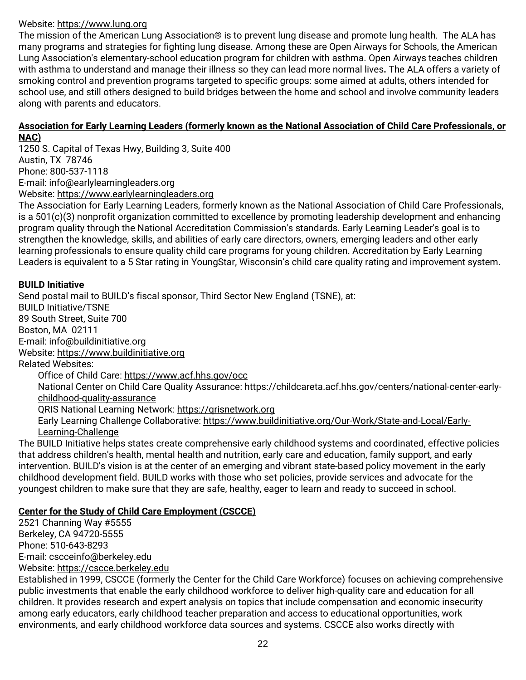# Website: [https://www.lung.org](https://www.lung.org/)

The mission of the American Lung Association® is to prevent lung disease and promote lung health. The ALA has many programs and strategies for fighting lung disease. Among these are Open Airways for Schools, the American Lung Association's elementary-school education program for children with asthma. Open Airways teaches children with asthma to understand and manage their illness so they can lead more normal lives**.** The ALA offers a variety of smoking control and prevention programs targeted to specific groups: some aimed at adults, others intended for school use, and still others designed to build bridges between the home and school and involve community leaders along with parents and educators.

#### **Association for Early Learning Leaders (formerly known as the National Association of Child Care Professionals, or NAC)**

1250 S. Capital of Texas Hwy, Building 3, Suite 400 Austin, TX 78746 Phone: 800-537-1118 E-mail: [info@earlylearningleaders.org](mailto:info@earlylearningleaders.org) Website: [https://www.earlylearningleaders.org](https://www.earlylearningleaders.org/)

The Association for Early Learning Leaders, formerly known as the National Association of Child Care Professionals, is a 501(c)(3) nonprofit organization committed to excellence by promoting leadership development and enhancing program quality through the National Accreditation Commission's standards. Early Learning Leader's goal is to strengthen the knowledge, skills, and abilities of early care directors, owners, emerging leaders and other early learning professionals to ensure quality child care programs for young children. Accreditation by Early Learning Leaders is equivalent to a 5 Star rating in YoungStar, Wisconsin's child care quality rating and improvement system.

# **BUILD Initiative**

Send postal mail to BUILD's fiscal sponsor, Third Sector New England (TSNE), at: BUILD Initiative/TSNE 89 South Street, Suite 700 Boston, MA 02111 E-mail: [info@buildinitiative.org](mailto:info@buildinitiative.org) Website: [https://www.buildinitiative.org](https://www.buildinitiative.org/) Related Websites: Office of Child Care[: https://www.acf.hhs.gov/occ](https://www.acf.hhs.gov/occ)

National Center on Child Care Quality Assurance[: https://childcareta.acf.hhs.gov/centers/national-center-early](https://childcareta.acf.hhs.gov/centers/national-center-early-childhood-quality-assurance)[childhood-quality-assurance](https://childcareta.acf.hhs.gov/centers/national-center-early-childhood-quality-assurance) QRIS National Learning Network: [https://qrisnetwork.org](https://qrisnetwork.org/) Early Learning Challenge Collaborative[: https://www.buildinitiative.org/Our-Work/State-and-Local/Early-](https://www.buildinitiative.org/Our-Work/State-and-Local/Early-Learning-Challenge)[Learning-Challenge](https://www.buildinitiative.org/Our-Work/State-and-Local/Early-Learning-Challenge)

The BUILD Initiative helps states create comprehensive early childhood systems and coordinated, effective policies that address children's health, mental health and nutrition, early care and education, family support, and early intervention. BUILD's vision is at the center of an emerging and vibrant state-based policy movement in the early childhood development field. BUILD works with those who set policies, provide services and advocate for the youngest children to make sure that they are safe, healthy, eager to learn and ready to succeed in school.

# **Center for the Study of Child Care Employment (CSCCE)**

2521 Channing Way #5555 Berkeley, CA 94720-5555 Phone: 510-643-8293 E-mail: [cscceinfo@berkeley.edu](mailto:cscceinfo@berkeley.edu) Website: [https://cscce.berkeley.edu](https://cscce.berkeley.edu/)

Established in 1999, CSCCE (formerly the Center for the Child Care Workforce) focuses on achieving comprehensive public investments that enable the early childhood workforce to deliver high-quality care and education for all children. It provides research and expert analysis on topics that include compensation and economic insecurity among early educators, early childhood teacher preparation and access to educational opportunities, work environments, and early childhood workforce data sources and systems. CSCCE also works directly with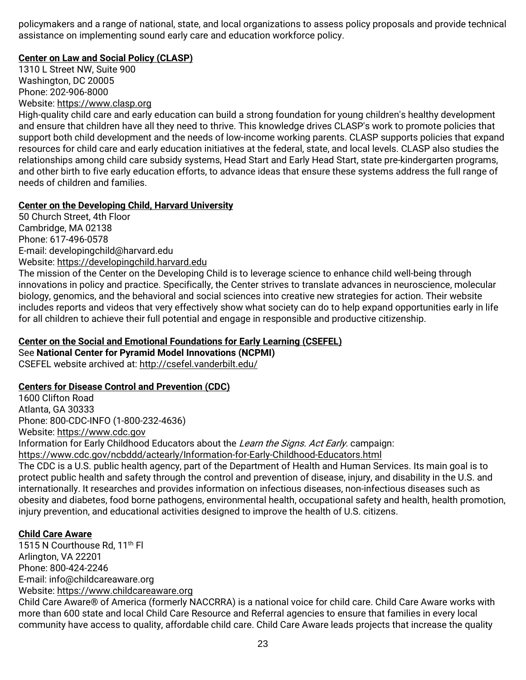policymakers and a range of national, state, and local organizations to assess policy proposals and provide technical assistance on implementing sound early care and education workforce policy.

# **Center on Law and Social Policy (CLASP)**

1310 L Street NW, Suite 900 Washington, DC 20005 Phone: 202-906-8000 Website: [https://www.clasp.org](https://www.clasp.org/)

High-quality child care and early education can build a strong foundation for young children's healthy development and ensure that children have all they need to thrive. This knowledge drives CLASP's work to promote policies that support both child development and the needs of low-income working parents. CLASP supports policies that expand resources for child care and early education initiatives at the federal, state, and local levels. CLASP also studies the relationships among child care subsidy systems, Head Start and Early Head Start, state pre-kindergarten programs, and other birth to five early education efforts, to advance ideas that ensure these systems address the full range of needs of children and families.

# **Center on the Developing Child, Harvard University**

50 Church Street, 4th Floor Cambridge, MA 02138 Phone: 617-496-0578 E-mail: [developingchild@harvard.edu](mailto:developingchild@harvard.edu)  Website: [https://developingchild.harvard.edu](https://developingchild.harvard.edu/)

The mission of the Center on the Developing Child is to leverage science to enhance child well-being through innovations in policy and practice. Specifically, the Center strives to translate advances in neuroscience, molecular biology, genomics, and the behavioral and social sciences into creative new strategies for action. Their website includes reports and videos that very effectively show what society can do to help expand opportunities early in life for all children to achieve their full potential and engage in responsible and productive citizenship.

# **Center on the Social and Emotional Foundations for Early Learning (CSEFEL)**

See **National Center for Pyramid Model Innovations (NCPMI)** CSEFEL website archived at:<http://csefel.vanderbilt.edu/>

# **Centers for Disease Control and Prevention (CDC)**

1600 Clifton Road Atlanta, GA 30333 Phone: 800-CDC-INFO (1-800-232-4636) Website: [https://www.cdc.gov](https://www.cdc.gov/)

Information for Early Childhood Educators about the Learn the Signs. Act Early. campaign:

<https://www.cdc.gov/ncbddd/actearly/Information-for-Early-Childhood-Educators.html>

The CDC is a U.S. public health agency, part of the Department of Health and Human Services. Its main goal is to protect public health and safety through the control and prevention of disease, injury, and disability in the U.S. and internationally. It researches and provides information on infectious diseases, non-infectious diseases such as obesity and diabetes, food borne pathogens, environmental health, occupational safety and health, health promotion, injury prevention, and educational activities designed to improve the health of U.S. citizens.

# **Child Care Aware**

1515 N Courthouse Rd, 11<sup>th</sup> Fl Arlington, VA 22201 Phone: 800-424-2246 E-mail: [info@childcareaware.org](mailto:info@childcareaware.org) Website: [https://www.childcareaware.org](https://www.childcareaware.org/)

Child Care Aware® of America (formerly NACCRRA) is a national voice for child care. Child Care Aware works with more than 600 state and local Child Care Resource and Referral agencies to ensure that families in every local community have access to quality, affordable child care. Child Care Aware leads projects that increase the quality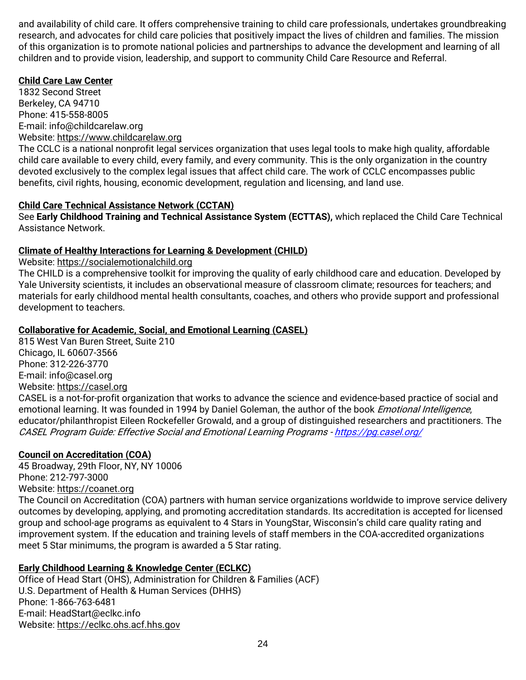and availability of child care. It offers comprehensive training to child care professionals, undertakes groundbreaking research, and advocates for child care policies that positively impact the lives of children and families. The mission of this organization is to promote national policies and partnerships to advance the development and learning of all children and to provide vision, leadership, and support to community Child Care Resource and Referral.

#### **Child Care Law Center**

1832 Second Street Berkeley, CA 94710 Phone: 415-558-8005 E-mail: [info@childcarelaw.org](mailto:info@childcarelaw.org) Website: [https://www.childcarelaw.org](https://www.childcarelaw.org/)

The CCLC is a national nonprofit legal services organization that uses legal tools to make high quality, affordable child care available to every child, every family, and every community. This is the only organization in the country devoted exclusively to the complex legal issues that affect child care. The work of CCLC encompasses public benefits, civil rights, housing, economic development, regulation and licensing, and land use.

#### **Child Care Technical Assistance Network (CCTAN)**

See **Early Childhood Training and Technical Assistance System (ECTTAS),** which replaced the Child Care Technical Assistance Network.

#### **Climate of Healthy Interactions for Learning & Development (CHILD)**

Website: [https://socialemotionalchild.org](https://socialemotionalchild.org/) 

The CHILD is a comprehensive toolkit for improving the quality of early childhood care and education. Developed by Yale University scientists, it includes an observational measure of classroom climate; resources for teachers; and materials for early childhood mental health consultants, coaches, and others who provide support and professional development to teachers.

# **Collaborative for Academic, Social, and Emotional Learning (CASEL)**

815 West Van Buren Street, Suite 210 Chicago, IL 60607-3566 Phone: 312-226-3770 E-mail: [info@casel.org](mailto:info@casel.org) Website: [https://casel.org](https://casel.org/) CASEL is a not-for-profit organization that works to advance the science and evidence-based practice of social and emotional learning. It was founded in 1994 by Daniel Goleman, the author of the book *Emotional Intelligence*, educator/philanthropist Eileen Rockefeller Growald, and a group of distinguished researchers and practitioners. The CASEL Program Guide: Effective Social and Emotional Learning Programs - <https://pg.casel.org/>

# **Council on Accreditation (COA)**

45 Broadway, 29th Floor, NY, NY 10006 Phone: 212-797-3000 Website: [https://coanet.org](https://coanet.org/)

The Council on Accreditation (COA) partners with human service organizations worldwide to improve service delivery outcomes by developing, applying, and promoting accreditation standards. Its accreditation is accepted for licensed group and school-age programs as equivalent to 4 Stars in YoungStar, Wisconsin's child care quality rating and improvement system. If the education and training levels of staff members in the COA-accredited organizations meet 5 Star minimums, the program is awarded a 5 Star rating.

# **Early Childhood Learning & Knowledge Center (ECLKC)**

Office of Head Start (OHS), Administration for Children & Families (ACF) U.S. Department of Health & Human Services (DHHS) Phone: 1-866-763-6481 E-mail: [HeadStart@eclkc.info](mailto:HeadStart@eclkc.info) Website: [https://eclkc.ohs.acf.hhs.gov](https://eclkc.ohs.acf.hhs.gov/)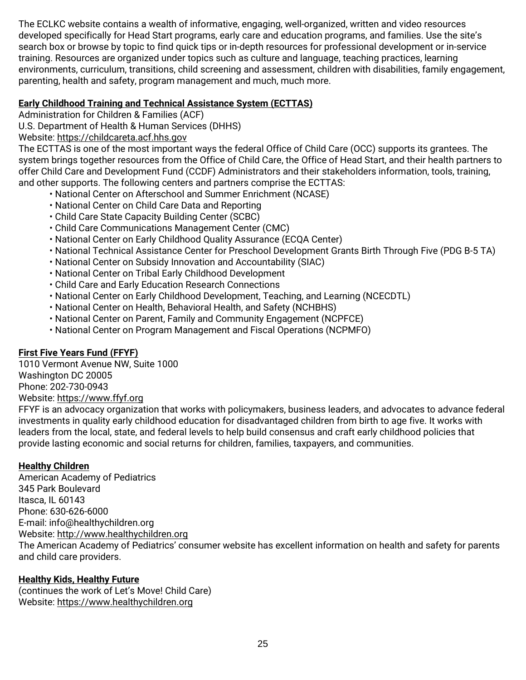The ECLKC website contains a wealth of informative, engaging, well-organized, written and video resources developed specifically for Head Start programs, early care and education programs, and families. Use the site's search box or browse by topic to find quick tips or in-depth resources for professional development or in-service training. Resources are organized under topics such as culture and language, teaching practices, learning environments, curriculum, transitions, child screening and assessment, children with disabilities, family engagement, parenting, health and safety, program management and much, much more.

# **Early Childhood Training and Technical Assistance System (ECTTAS)**

Administration for Children & Families (ACF)

U.S. Department of Health & Human Services (DHHS)

Website: [https://childcareta.acf.hhs.gov](https://childcareta.acf.hhs.gov/)

The ECTTAS is one of the most important ways the federal Office of Child Care (OCC) supports its grantees. The system brings together resources from the Office of Child Care, the Office of Head Start, and their health partners to offer Child Care and Development Fund (CCDF) Administrators and their stakeholders information, tools, training, and other supports. The following centers and partners comprise the ECTTAS:

- National Center on Afterschool and Summer Enrichment (NCASE)
- National Center on Child Care Data and Reporting
- Child Care State Capacity Building Center (SCBC)
- Child Care Communications Management Center (CMC)
- National Center on Early Childhood Quality Assurance (ECQA Center)
- National Technical Assistance Center for Preschool Development Grants Birth Through Five (PDG B-5 TA)
- National Center on Subsidy Innovation and Accountability (SIAC)
- National Center on Tribal Early Childhood Development
- Child Care and Early Education Research Connections
- National Center on Early Childhood Development, Teaching, and Learning (NCECDTL)
- National Center on Health, Behavioral Health, and Safety (NCHBHS)
- National Center on Parent, Family and Community Engagement (NCPFCE)
- National Center on Program Management and Fiscal Operations (NCPMFO)

# **First Five Years Fund (FFYF)**

1010 Vermont Avenue NW, Suite 1000 Washington DC 20005 Phone: 202-730-0943 Website: [https://www.ffyf.org](https://www.ffyf.org/)

FFYF is an advocacy organization that works with policymakers, business leaders, and advocates to advance federal investments in quality early childhood education for disadvantaged children from birth to age five. It works with leaders from the local, state, and federal levels to help build consensus and craft early childhood policies that provide lasting economic and social returns for children, families, taxpayers, and communities.

# **Healthy Children**

American Academy of Pediatrics 345 Park Boulevard Itasca, IL 60143 Phone: 630-626-6000 E-mail: [info@healthychildren.org](mailto:info@healthychildren.org)  Website: [http://www.healthychildren.org](http://www.healthychildren.org/) The American Academy of Pediatrics' consumer website has excellent information on health and safety for parents and child care providers.

# **Healthy Kids, Healthy Future**

(continues the work of Let's Move! Child Care) Website: [https://www.healthychildren.org](https://www.healthychildren.org/)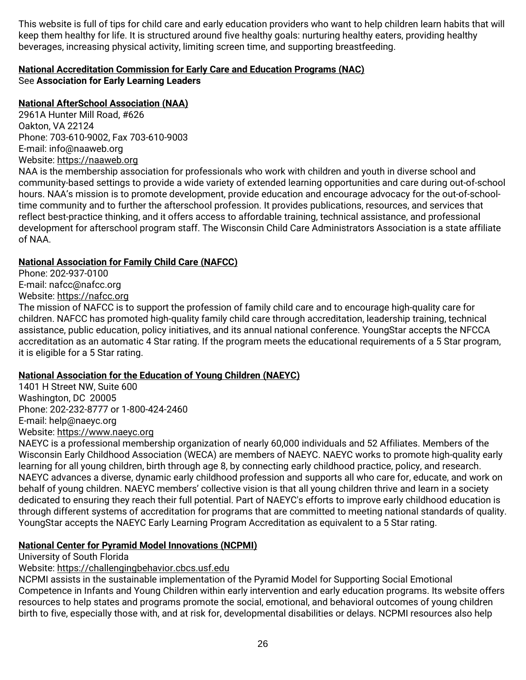This website is full of tips for child care and early education providers who want to help children learn habits that will keep them healthy for life. It is structured around five healthy goals: nurturing healthy eaters, providing healthy beverages, increasing physical activity, limiting screen time, and supporting breastfeeding.

# **National Accreditation Commission for Early Care and Education Programs (NAC)** See **Association for Early Learning Leaders**

# **National AfterSchool Association (NAA)**

2961A Hunter Mill Road, #626 Oakton, VA 22124 Phone: 703-610-9002, Fax 703-610-9003 E-mail: info@naaweb.org Website: [https://naaweb.org](https://naaweb.org/)

NAA is the membership association for professionals who work with children and youth in diverse school and community-based settings to provide a wide variety of extended learning opportunities and care during out-of-school hours. NAA's mission is to promote development, provide education and encourage advocacy for the out-of-schooltime community and to further the afterschool profession. It provides publications, resources, and services that reflect best-practice thinking, and it offers access to affordable training, technical assistance, and professional development for afterschool program staff. The Wisconsin Child Care Administrators Association is a state affiliate of NAA.

# **National Association for Family Child Care (NAFCC)**

Phone: 202-937-0100 E-mail: [nafcc@nafcc.org](mailto:nafcc@nafcc.org) Website: [https://nafcc.org](https://nafcc.org/)

The mission of NAFCC is to support the profession of family child care and to encourage high-quality care for children. NAFCC has promoted high-quality family child care through accreditation, leadership training, technical assistance, public education, policy initiatives, and its annual national conference. YoungStar accepts the NFCCA accreditation as an automatic 4 Star rating. If the program meets the educational requirements of a 5 Star program, it is eligible for a 5 Star rating.

# **National Association for the Education of Young Children (NAEYC)**

1401 H Street NW, Suite 600 Washington, DC 20005 Phone: 202-232-8777 or 1-800-424-2460 E-mail: [help@naeyc.org](mailto:help@naeyc.org) Website: [https://www.naeyc.org](https://www.naeyc.org/)

NAEYC is a professional membership organization of nearly 60,000 individuals and 52 Affiliates. Members of the Wisconsin Early Childhood Association (WECA) are members of NAEYC. NAEYC works to promote high-quality early learning for all young children, birth through age 8, by connecting early childhood practice, policy, and research. NAEYC advances a diverse, dynamic early childhood profession and supports all who care for, educate, and work on behalf of young children. NAEYC members' collective vision is that all young children thrive and learn in a society dedicated to ensuring they reach their full potential. Part of NAEYC's efforts to improve early childhood education is through different systems of accreditation for programs that are committed to meeting national standards of quality. YoungStar accepts the NAEYC Early Learning Program Accreditation as equivalent to a 5 Star rating.

# **National Center for Pyramid Model Innovations (NCPMI)**

University of South Florida

Website: [https://challengingbehavior.cbcs.usf.edu](https://challengingbehavior.cbcs.usf.edu/)

NCPMI assists in the sustainable implementation of the Pyramid Model for Supporting Social Emotional Competence in Infants and Young Children within early intervention and early education programs. Its website offers resources to help states and programs promote the social, emotional, and behavioral outcomes of young children birth to five, especially those with, and at risk for, developmental disabilities or delays. NCPMI resources also help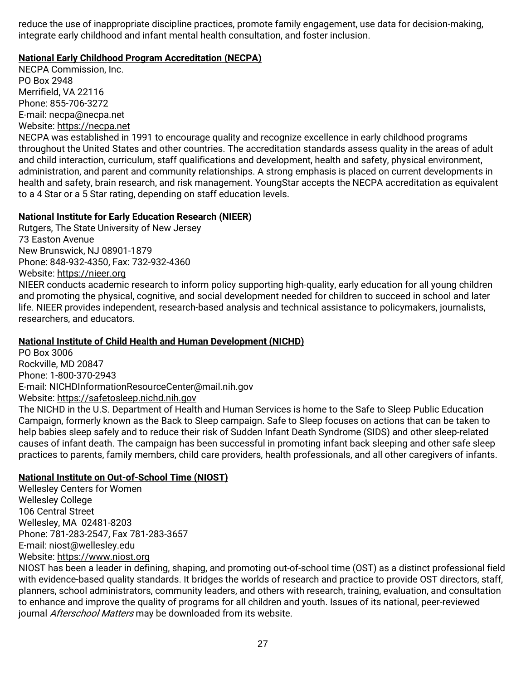reduce the use of inappropriate discipline practices, promote family engagement, use data for decision-making, integrate early childhood and infant mental health consultation, and foster inclusion.

#### **National Early Childhood Program Accreditation (NECPA)**

NECPA Commission, Inc. PO Box 2948 Merrifield, VA 22116 Phone: 855-706-3272 E-mail: [necpa@necpa.net](mailto:necpa@necpa.net) Website: [https://necpa.net](https://necpa.net/)

NECPA was established in 1991 to encourage quality and recognize excellence in early childhood programs throughout the United States and other countries. The accreditation standards assess quality in the areas of adult and child interaction, curriculum, staff qualifications and development, health and safety, physical environment, administration, and parent and community relationships. A strong emphasis is placed on current developments in health and safety, brain research, and risk management. YoungStar accepts the NECPA accreditation as equivalent to a 4 Star or a 5 Star rating, depending on staff education levels.

#### **National Institute for Early Education Research (NIEER)**

Rutgers, The State University of New Jersey 73 Easton Avenue New Brunswick, NJ 08901-1879 Phone: 848-932-4350, Fax: 732-932-4360

Website: [https://nieer.org](https://nieer.org/)

NIEER conducts academic research to inform policy supporting high-quality, early education for all young children and promoting the physical, cognitive, and social development needed for children to succeed in school and later life. NIEER provides independent, research-based analysis and technical assistance to policymakers, journalists, researchers, and educators.

# **National Institute of Child Health and Human Development (NICHD)**

PO Box 3006 Rockville, MD 20847 Phone: 1-800-370-2943 E-mail: [NICHDInformationResourceCenter@mail.nih.gov](mailto:NICHDInformationResourceCenter@mail.nih.gov) Website: [https://safetosleep.nichd.nih.gov](https://safetosleep.nichd.nih.gov/)

The NICHD in the U.S. Department of Health and Human Services is home to the Safe to Sleep Public Education Campaign, formerly known as the Back to Sleep campaign. Safe to Sleep focuses on actions that can be taken to help babies sleep safely and to reduce their risk of Sudden Infant Death Syndrome (SIDS) and other sleep-related causes of infant death. The campaign has been successful in promoting infant back sleeping and other safe sleep practices to parents, family members, child care providers, health professionals, and all other caregivers of infants.

# **National Institute on Out-of-School Time (NIOST)**

Wellesley Centers for Women Wellesley College 106 Central Street Wellesley, MA 02481-8203 Phone: 781-283-2547, Fax 781-283-3657 E-mail: [niost@wellesley.edu](mailto:niost@wellesley.edu) Website: [https://www.niost.org](https://www.niost.org/)

NIOST has been a leader in defining, shaping, and promoting out-of-school time (OST) as a distinct professional field with evidence-based quality standards. It bridges the worlds of research and practice to provide OST directors, staff, planners, school administrators, community leaders, and others with research, training, evaluation, and consultation to enhance and improve the quality of programs for all children and youth. Issues of its national, peer-reviewed journal Afterschool Matters may be downloaded from its website.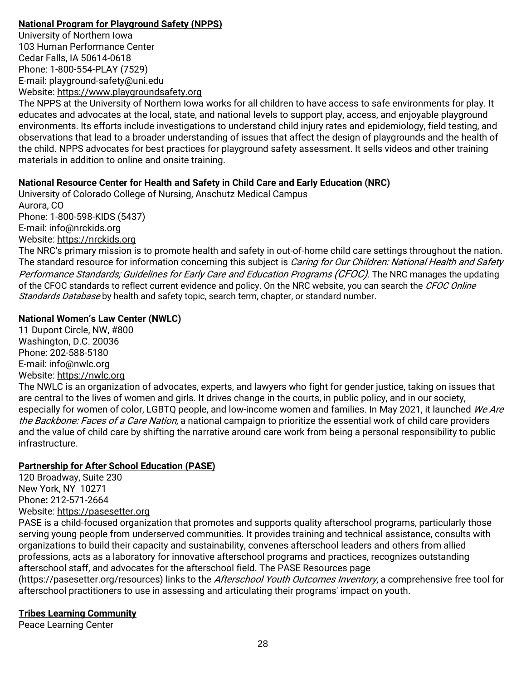# **National Program for Playground Safety (NPPS)**

University of Northern Iowa 103 Human Performance Center Cedar Falls, IA 50614-0618 Phone: 1-800-554-PLAY (7529) E-mail: [playground-safety@uni.edu](mailto:playground-safety@uni.edu) Website: [https://www.playgroundsafety.org](https://www.playgroundsafety.org/)

The NPPS at the University of Northern Iowa works for all children to have access to safe environments for play. It educates and advocates at the local, state, and national levels to support play, access, and enjoyable playground environments. Its efforts include investigations to understand child injury rates and epidemiology, field testing, and observations that lead to a broader understanding of issues that affect the design of playgrounds and the health of the child. NPPS advocates for best practices for playground safety assessment. It sells videos and other training materials in addition to online and onsite training.

# **National Resource Center for Health and Safety in Child Care and Early Education (NRC)**

University of Colorado College of Nursing, Anschutz Medical Campus Aurora, CO Phone: 1-800-598-KIDS (5437) E-mail: [info@nrckids.org](mailto:info@nrckids.org) Website: [https://nrckids.org](https://nrckids.org/) The NRC's primary mission is to promote health and safety in out-of-home child care settings throughout the nation.

The standard resource for information concerning this subject is *Caring for Our Children: National Health and Safety* Performance Standards; Guidelines for Early Care and Education Programs (CFOC). The NRC manages the updating of the CFOC standards to reflect current evidence and policy. On the NRC website, you can search the CFOC Online Standards Database by health and safety topic, search term, chapter, or standard number.

# **National Women's Law Center (NWLC)**

11 Dupont Circle, NW, #800 Washington, D.C. 20036 Phone: 202-588-5180 E-mail: [info@nwlc.org](mailto:info@nwlc.org) Website: [https://nwlc.org](https://nwlc.org/)

The NWLC is an organization of advocates, experts, and lawyers who fight for gender justice, taking on issues that are central to the lives of women and girls. It drives change in the courts, in public policy, and in our society, especially for women of color, LGBTQ people, and low-income women and families. In May 2021, it launched We Are the Backbone: Faces of a Care Nation, a national campaign to prioritize the essential work of child care providers and the value of child care by shifting the narrative around care work from being a personal responsibility to public infrastructure.

# **Partnership for After School Education (PASE)**

120 Broadway, Suite 230 New York, NY 10271 Phone**:** 212-571-2664 Website: [https://pasesetter.org](https://pasesetter.org/)

PASE is a child-focused organization that promotes and supports quality afterschool programs, particularly those serving young people from underserved communities. It provides training and technical assistance, consults with organizations to build their capacity and sustainability, convenes afterschool leaders and others from allied professions, acts as a laboratory for innovative afterschool programs and practices, recognizes outstanding afterschool staff, and advocates for the afterschool field. The PASE Resources page

(https://pasesetter.org/resources) links to the *Afterschool Youth Outcomes Inventory*, a comprehensive free tool for afterschool practitioners to use in assessing and articulating their programs' impact on youth.

# **Tribes Learning Community**

Peace Learning Center